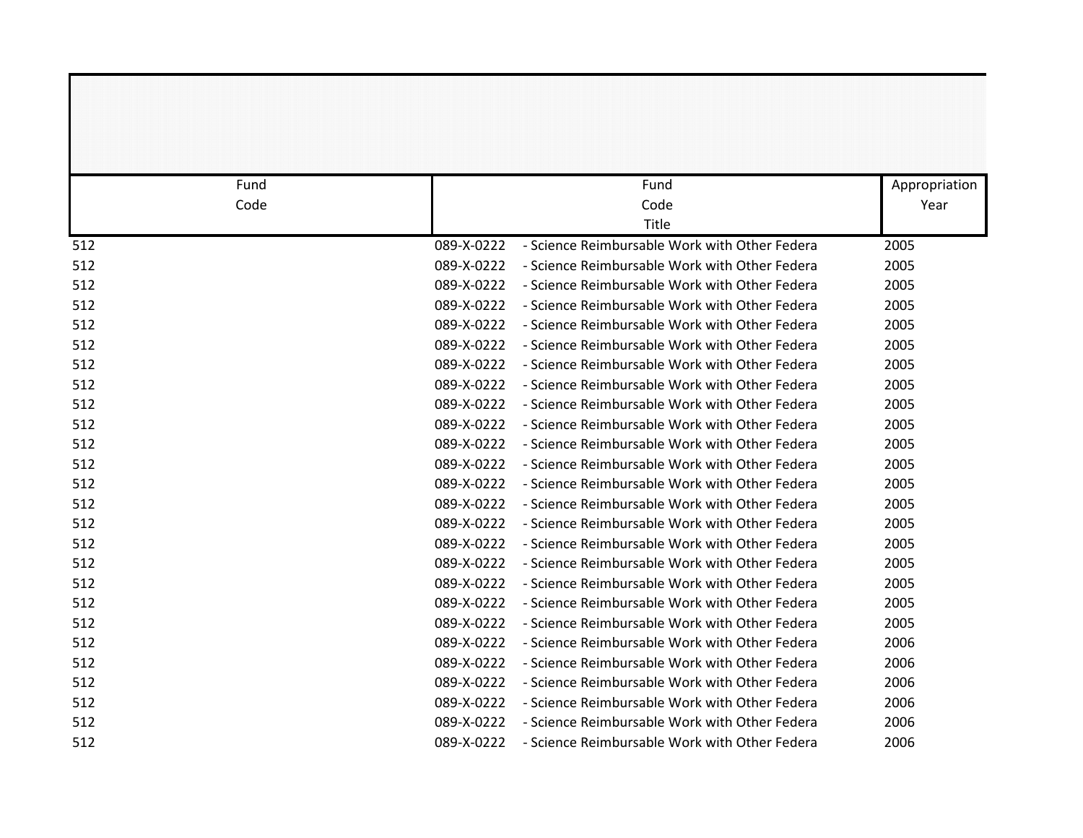| Fund |            | Fund                                          | Appropriation |
|------|------------|-----------------------------------------------|---------------|
| Code |            | Code                                          | Year          |
|      |            | Title                                         |               |
| 512  | 089-X-0222 | - Science Reimbursable Work with Other Federa | 2005          |
| 512  | 089-X-0222 | - Science Reimbursable Work with Other Federa | 2005          |
| 512  | 089-X-0222 | - Science Reimbursable Work with Other Federa | 2005          |
| 512  | 089-X-0222 | - Science Reimbursable Work with Other Federa | 2005          |
| 512  | 089-X-0222 | - Science Reimbursable Work with Other Federa | 2005          |
| 512  | 089-X-0222 | - Science Reimbursable Work with Other Federa | 2005          |
| 512  | 089-X-0222 | - Science Reimbursable Work with Other Federa | 2005          |
| 512  | 089-X-0222 | - Science Reimbursable Work with Other Federa | 2005          |
| 512  | 089-X-0222 | - Science Reimbursable Work with Other Federa | 2005          |
| 512  | 089-X-0222 | - Science Reimbursable Work with Other Federa | 2005          |
| 512  | 089-X-0222 | - Science Reimbursable Work with Other Federa | 2005          |
| 512  | 089-X-0222 | - Science Reimbursable Work with Other Federa | 2005          |
| 512  | 089-X-0222 | - Science Reimbursable Work with Other Federa | 2005          |
| 512  | 089-X-0222 | - Science Reimbursable Work with Other Federa | 2005          |
| 512  | 089-X-0222 | - Science Reimbursable Work with Other Federa | 2005          |
| 512  | 089-X-0222 | - Science Reimbursable Work with Other Federa | 2005          |
| 512  | 089-X-0222 | - Science Reimbursable Work with Other Federa | 2005          |
| 512  | 089-X-0222 | - Science Reimbursable Work with Other Federa | 2005          |
| 512  | 089-X-0222 | - Science Reimbursable Work with Other Federa | 2005          |
| 512  | 089-X-0222 | - Science Reimbursable Work with Other Federa | 2005          |
| 512  | 089-X-0222 | - Science Reimbursable Work with Other Federa | 2006          |
| 512  | 089-X-0222 | - Science Reimbursable Work with Other Federa | 2006          |
| 512  | 089-X-0222 | - Science Reimbursable Work with Other Federa | 2006          |
| 512  | 089-X-0222 | - Science Reimbursable Work with Other Federa | 2006          |
| 512  | 089-X-0222 | - Science Reimbursable Work with Other Federa | 2006          |
| 512  | 089-X-0222 | - Science Reimbursable Work with Other Federa | 2006          |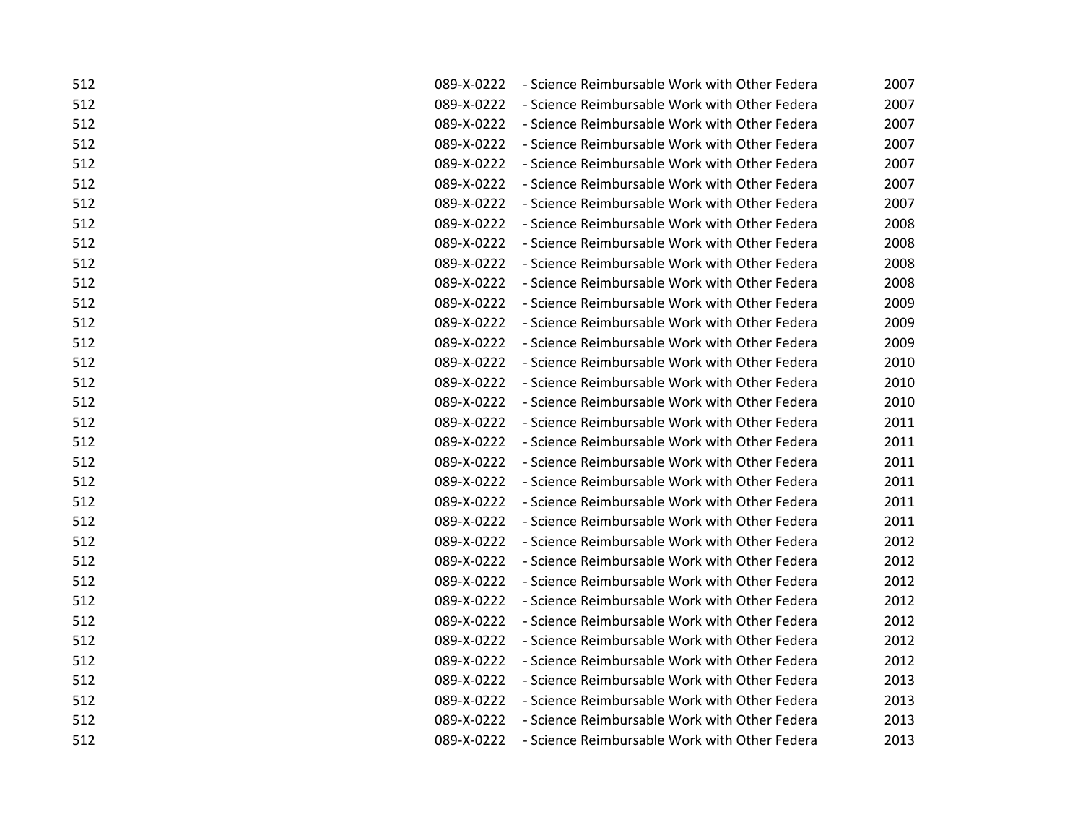| - Science Reimbursable Work with Other Federa<br>2007 |
|-------------------------------------------------------|
| 2007<br>- Science Reimbursable Work with Other Federa |
| - Science Reimbursable Work with Other Federa<br>2007 |
| - Science Reimbursable Work with Other Federa<br>2007 |
| - Science Reimbursable Work with Other Federa<br>2007 |
| - Science Reimbursable Work with Other Federa<br>2007 |
| - Science Reimbursable Work with Other Federa<br>2007 |
| - Science Reimbursable Work with Other Federa<br>2008 |
| - Science Reimbursable Work with Other Federa<br>2008 |
| - Science Reimbursable Work with Other Federa<br>2008 |
| - Science Reimbursable Work with Other Federa<br>2008 |
| - Science Reimbursable Work with Other Federa         |
| 2009                                                  |
| - Science Reimbursable Work with Other Federa<br>2009 |
| - Science Reimbursable Work with Other Federa<br>2009 |
| - Science Reimbursable Work with Other Federa<br>2010 |
| - Science Reimbursable Work with Other Federa<br>2010 |
| - Science Reimbursable Work with Other Federa<br>2010 |
| - Science Reimbursable Work with Other Federa<br>2011 |
| - Science Reimbursable Work with Other Federa<br>2011 |
| - Science Reimbursable Work with Other Federa<br>2011 |
| - Science Reimbursable Work with Other Federa<br>2011 |
| - Science Reimbursable Work with Other Federa<br>2011 |
| - Science Reimbursable Work with Other Federa<br>2011 |
| - Science Reimbursable Work with Other Federa<br>2012 |
| - Science Reimbursable Work with Other Federa<br>2012 |
| - Science Reimbursable Work with Other Federa<br>2012 |
| - Science Reimbursable Work with Other Federa<br>2012 |
| - Science Reimbursable Work with Other Federa<br>2012 |
| 2012<br>- Science Reimbursable Work with Other Federa |
| - Science Reimbursable Work with Other Federa<br>2012 |
| - Science Reimbursable Work with Other Federa<br>2013 |
| - Science Reimbursable Work with Other Federa<br>2013 |
| - Science Reimbursable Work with Other Federa<br>2013 |
| - Science Reimbursable Work with Other Federa<br>2013 |
|                                                       |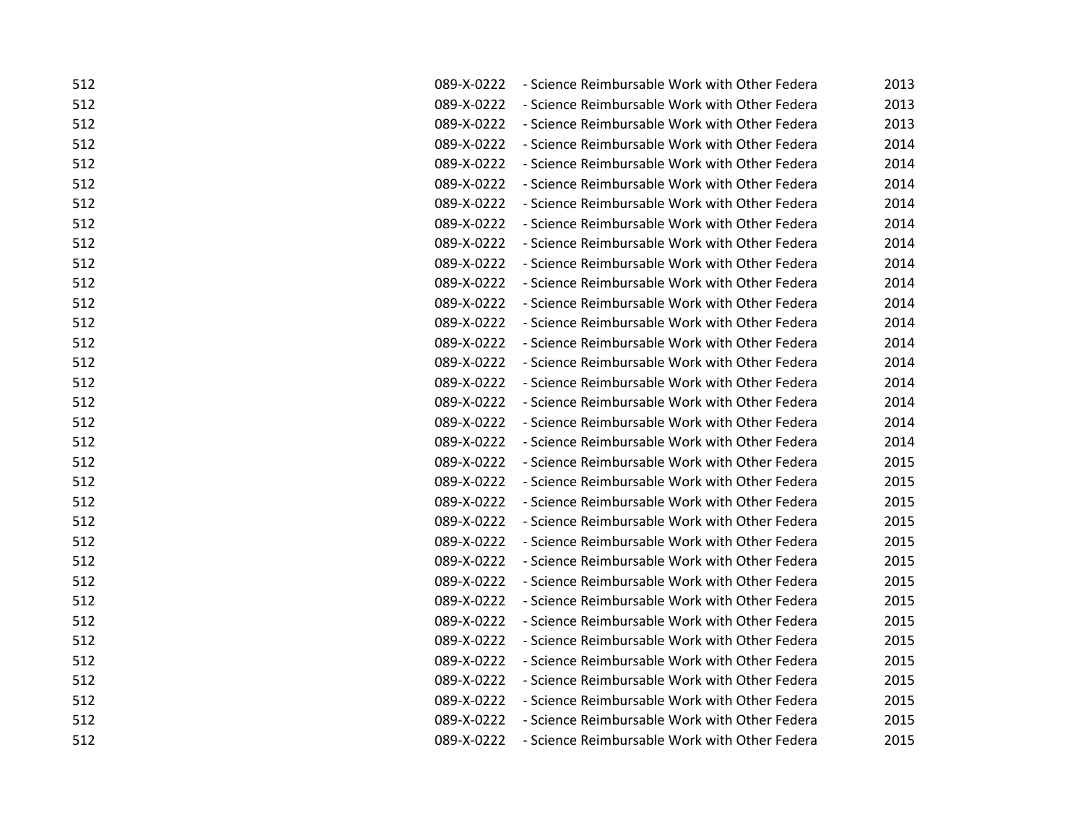| 512 | 089-X-0222 | - Science Reimbursable Work with Other Federa | 2013 |
|-----|------------|-----------------------------------------------|------|
| 512 | 089-X-0222 | - Science Reimbursable Work with Other Federa | 2013 |
| 512 | 089-X-0222 | - Science Reimbursable Work with Other Federa | 2013 |
| 512 | 089-X-0222 | - Science Reimbursable Work with Other Federa | 2014 |
| 512 | 089-X-0222 | - Science Reimbursable Work with Other Federa | 2014 |
| 512 | 089-X-0222 | - Science Reimbursable Work with Other Federa | 2014 |
| 512 | 089-X-0222 | - Science Reimbursable Work with Other Federa | 2014 |
| 512 | 089-X-0222 | - Science Reimbursable Work with Other Federa | 2014 |
| 512 | 089-X-0222 | - Science Reimbursable Work with Other Federa | 2014 |
| 512 | 089-X-0222 | - Science Reimbursable Work with Other Federa | 2014 |
| 512 | 089-X-0222 | - Science Reimbursable Work with Other Federa | 2014 |
| 512 | 089-X-0222 | - Science Reimbursable Work with Other Federa | 2014 |
| 512 | 089-X-0222 | - Science Reimbursable Work with Other Federa | 2014 |
| 512 | 089-X-0222 | - Science Reimbursable Work with Other Federa | 2014 |
| 512 | 089-X-0222 | - Science Reimbursable Work with Other Federa | 2014 |
| 512 | 089-X-0222 | - Science Reimbursable Work with Other Federa | 2014 |
| 512 | 089-X-0222 | - Science Reimbursable Work with Other Federa | 2014 |
| 512 | 089-X-0222 | - Science Reimbursable Work with Other Federa | 2014 |
| 512 | 089-X-0222 | - Science Reimbursable Work with Other Federa | 2014 |
| 512 | 089-X-0222 | - Science Reimbursable Work with Other Federa | 2015 |
| 512 | 089-X-0222 | - Science Reimbursable Work with Other Federa | 2015 |
| 512 | 089-X-0222 | - Science Reimbursable Work with Other Federa | 2015 |
| 512 | 089-X-0222 | - Science Reimbursable Work with Other Federa | 2015 |
| 512 | 089-X-0222 | - Science Reimbursable Work with Other Federa | 2015 |
| 512 | 089-X-0222 | - Science Reimbursable Work with Other Federa | 2015 |
| 512 | 089-X-0222 | - Science Reimbursable Work with Other Federa | 2015 |
| 512 | 089-X-0222 | - Science Reimbursable Work with Other Federa | 2015 |
| 512 | 089-X-0222 | - Science Reimbursable Work with Other Federa | 2015 |
| 512 | 089-X-0222 | - Science Reimbursable Work with Other Federa | 2015 |
| 512 | 089-X-0222 | - Science Reimbursable Work with Other Federa | 2015 |
| 512 | 089-X-0222 | - Science Reimbursable Work with Other Federa | 2015 |
| 512 | 089-X-0222 | - Science Reimbursable Work with Other Federa | 2015 |
| 512 | 089-X-0222 | - Science Reimbursable Work with Other Federa | 2015 |
| 512 | 089-X-0222 | - Science Reimbursable Work with Other Federa | 2015 |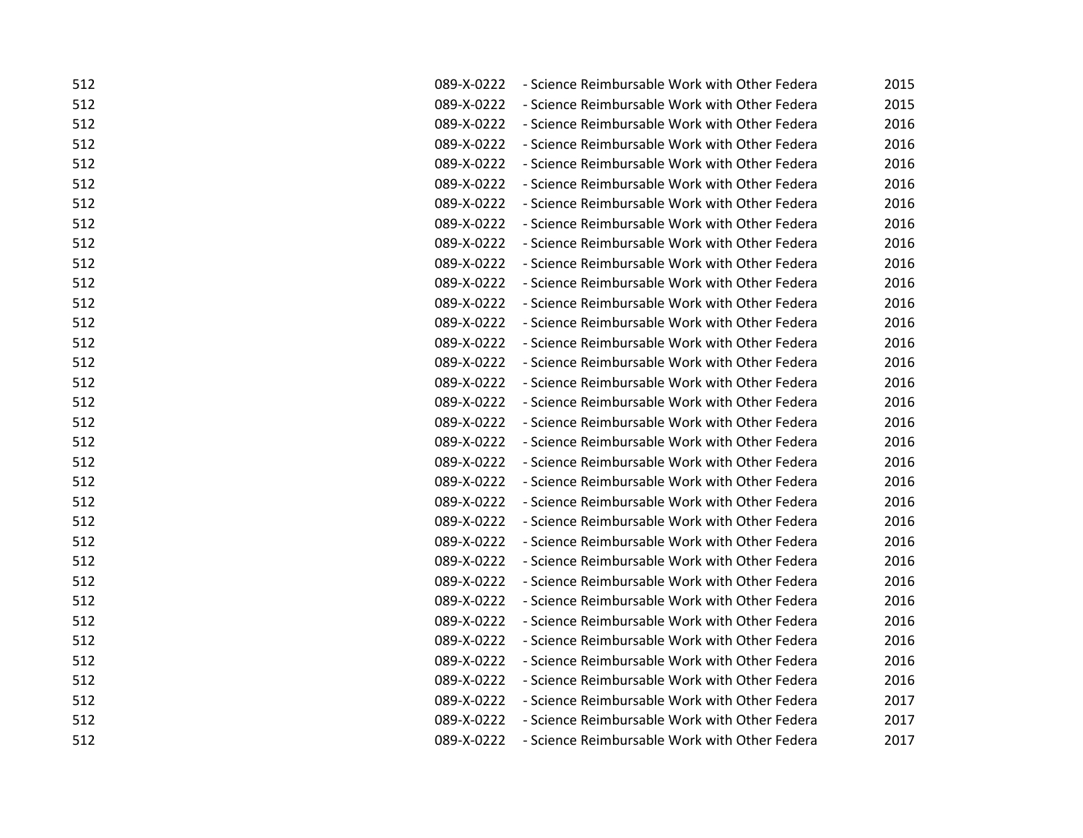| 512 | 089-X-0222 | - Science Reimbursable Work with Other Federa | 2015 |
|-----|------------|-----------------------------------------------|------|
| 512 | 089-X-0222 | - Science Reimbursable Work with Other Federa | 2015 |
| 512 | 089-X-0222 | - Science Reimbursable Work with Other Federa | 2016 |
| 512 | 089-X-0222 | - Science Reimbursable Work with Other Federa | 2016 |
| 512 | 089-X-0222 | - Science Reimbursable Work with Other Federa | 2016 |
| 512 | 089-X-0222 | - Science Reimbursable Work with Other Federa | 2016 |
| 512 | 089-X-0222 | - Science Reimbursable Work with Other Federa | 2016 |
| 512 | 089-X-0222 | - Science Reimbursable Work with Other Federa | 2016 |
| 512 | 089-X-0222 | - Science Reimbursable Work with Other Federa | 2016 |
| 512 | 089-X-0222 | - Science Reimbursable Work with Other Federa | 2016 |
| 512 | 089-X-0222 | - Science Reimbursable Work with Other Federa | 2016 |
| 512 | 089-X-0222 | - Science Reimbursable Work with Other Federa | 2016 |
| 512 | 089-X-0222 | - Science Reimbursable Work with Other Federa | 2016 |
| 512 | 089-X-0222 | - Science Reimbursable Work with Other Federa | 2016 |
| 512 | 089-X-0222 | - Science Reimbursable Work with Other Federa | 2016 |
| 512 | 089-X-0222 | - Science Reimbursable Work with Other Federa | 2016 |
| 512 | 089-X-0222 | - Science Reimbursable Work with Other Federa | 2016 |
| 512 | 089-X-0222 | - Science Reimbursable Work with Other Federa | 2016 |
| 512 | 089-X-0222 | - Science Reimbursable Work with Other Federa | 2016 |
| 512 | 089-X-0222 | - Science Reimbursable Work with Other Federa | 2016 |
| 512 | 089-X-0222 | - Science Reimbursable Work with Other Federa | 2016 |
| 512 | 089-X-0222 | - Science Reimbursable Work with Other Federa | 2016 |
| 512 | 089-X-0222 | - Science Reimbursable Work with Other Federa | 2016 |
| 512 | 089-X-0222 | - Science Reimbursable Work with Other Federa | 2016 |
| 512 | 089-X-0222 | - Science Reimbursable Work with Other Federa | 2016 |
| 512 | 089-X-0222 | - Science Reimbursable Work with Other Federa | 2016 |
| 512 | 089-X-0222 | - Science Reimbursable Work with Other Federa | 2016 |
| 512 | 089-X-0222 | - Science Reimbursable Work with Other Federa | 2016 |
| 512 | 089-X-0222 | - Science Reimbursable Work with Other Federa | 2016 |
| 512 | 089-X-0222 | - Science Reimbursable Work with Other Federa | 2016 |
| 512 | 089-X-0222 | - Science Reimbursable Work with Other Federa | 2016 |
| 512 | 089-X-0222 | - Science Reimbursable Work with Other Federa | 2017 |
| 512 | 089-X-0222 | - Science Reimbursable Work with Other Federa | 2017 |
| 512 | 089-X-0222 | - Science Reimbursable Work with Other Federa | 2017 |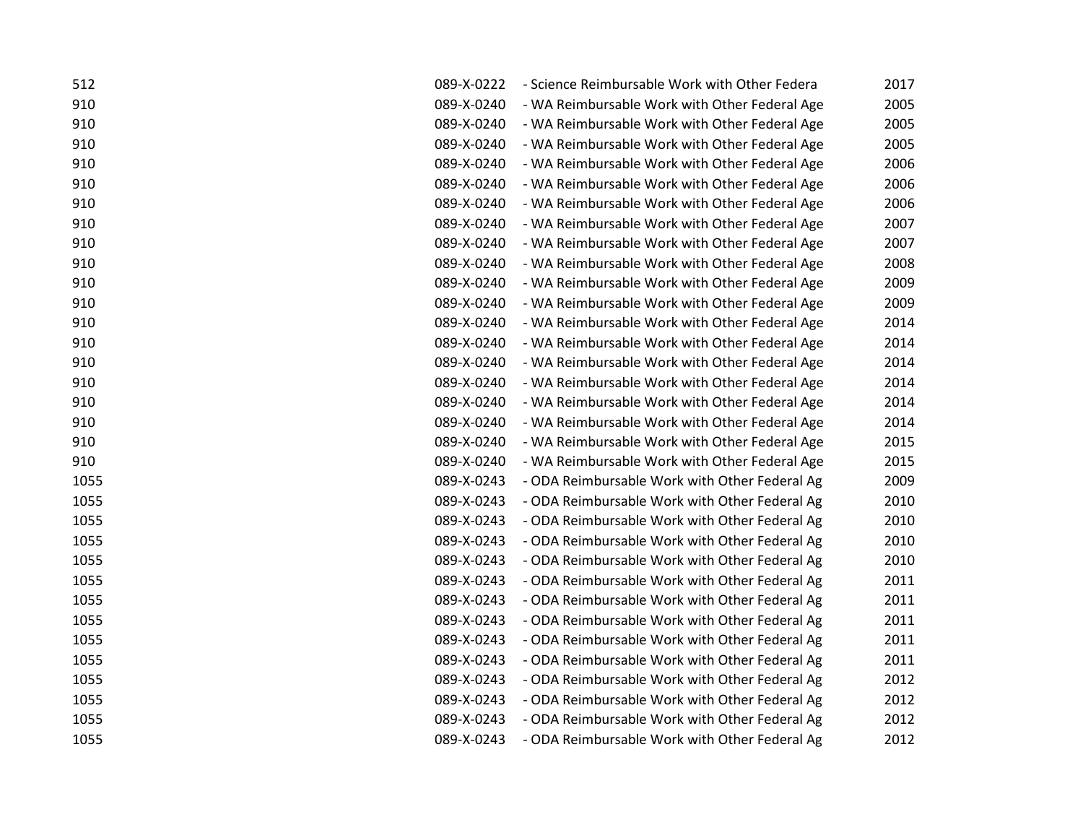| 512  | 089-X-0222 | - Science Reimbursable Work with Other Federa | 2017 |
|------|------------|-----------------------------------------------|------|
| 910  | 089-X-0240 | - WA Reimbursable Work with Other Federal Age | 2005 |
| 910  | 089-X-0240 | - WA Reimbursable Work with Other Federal Age | 2005 |
| 910  | 089-X-0240 | - WA Reimbursable Work with Other Federal Age | 2005 |
| 910  | 089-X-0240 | - WA Reimbursable Work with Other Federal Age | 2006 |
| 910  | 089-X-0240 | - WA Reimbursable Work with Other Federal Age | 2006 |
| 910  | 089-X-0240 | - WA Reimbursable Work with Other Federal Age | 2006 |
| 910  | 089-X-0240 | - WA Reimbursable Work with Other Federal Age | 2007 |
| 910  | 089-X-0240 | - WA Reimbursable Work with Other Federal Age | 2007 |
| 910  | 089-X-0240 | - WA Reimbursable Work with Other Federal Age | 2008 |
| 910  | 089-X-0240 | - WA Reimbursable Work with Other Federal Age | 2009 |
| 910  | 089-X-0240 | - WA Reimbursable Work with Other Federal Age | 2009 |
| 910  | 089-X-0240 | - WA Reimbursable Work with Other Federal Age | 2014 |
| 910  | 089-X-0240 | - WA Reimbursable Work with Other Federal Age | 2014 |
| 910  | 089-X-0240 | - WA Reimbursable Work with Other Federal Age | 2014 |
| 910  | 089-X-0240 | - WA Reimbursable Work with Other Federal Age | 2014 |
| 910  | 089-X-0240 | - WA Reimbursable Work with Other Federal Age | 2014 |
| 910  | 089-X-0240 | - WA Reimbursable Work with Other Federal Age | 2014 |
| 910  | 089-X-0240 | - WA Reimbursable Work with Other Federal Age | 2015 |
| 910  | 089-X-0240 | - WA Reimbursable Work with Other Federal Age | 2015 |
| 1055 | 089-X-0243 | - ODA Reimbursable Work with Other Federal Ag | 2009 |
| 1055 | 089-X-0243 | - ODA Reimbursable Work with Other Federal Ag | 2010 |
| 1055 | 089-X-0243 | - ODA Reimbursable Work with Other Federal Ag | 2010 |
| 1055 | 089-X-0243 | - ODA Reimbursable Work with Other Federal Ag | 2010 |
| 1055 | 089-X-0243 | - ODA Reimbursable Work with Other Federal Ag | 2010 |
| 1055 | 089-X-0243 | - ODA Reimbursable Work with Other Federal Ag | 2011 |
| 1055 | 089-X-0243 | - ODA Reimbursable Work with Other Federal Ag | 2011 |
| 1055 | 089-X-0243 | - ODA Reimbursable Work with Other Federal Ag | 2011 |
| 1055 | 089-X-0243 | - ODA Reimbursable Work with Other Federal Ag | 2011 |
| 1055 | 089-X-0243 | - ODA Reimbursable Work with Other Federal Ag | 2011 |
| 1055 | 089-X-0243 | - ODA Reimbursable Work with Other Federal Ag | 2012 |
| 1055 | 089-X-0243 | - ODA Reimbursable Work with Other Federal Ag | 2012 |
| 1055 | 089-X-0243 | - ODA Reimbursable Work with Other Federal Ag | 2012 |
| 1055 | 089-X-0243 | - ODA Reimbursable Work with Other Federal Ag | 2012 |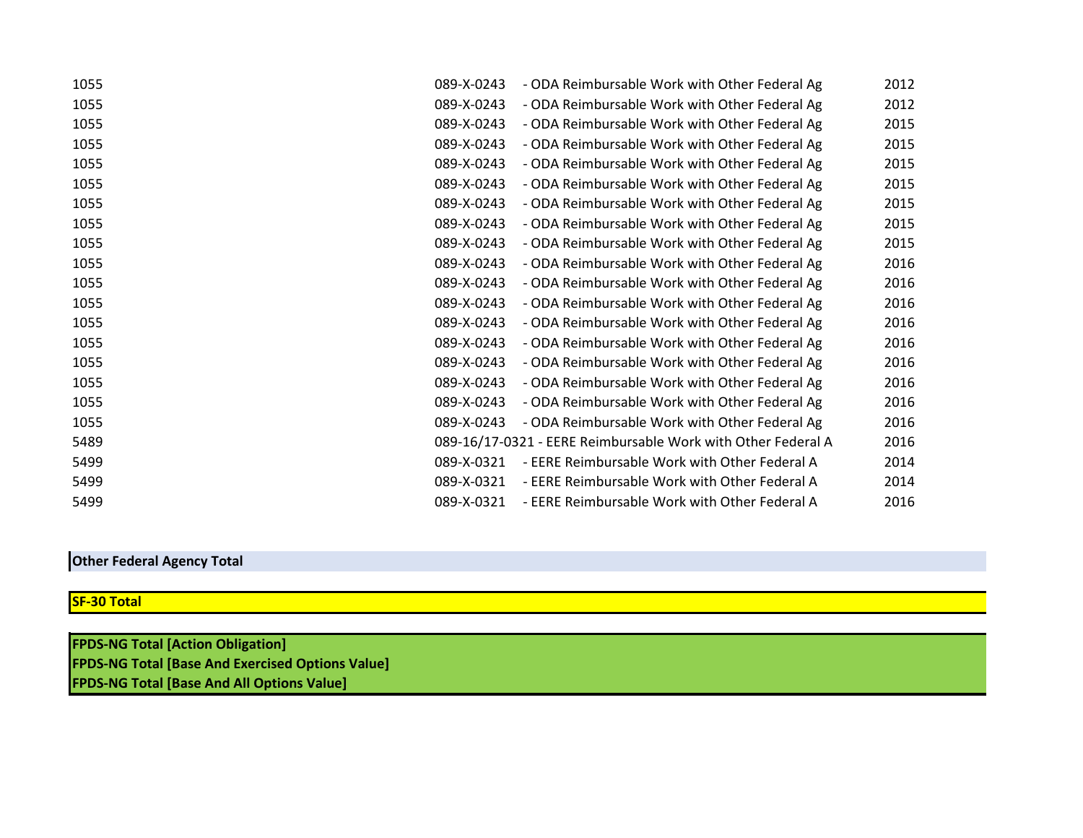| 1055 | 089-X-0243 | - ODA Reimbursable Work with Other Federal Ag                | 2012 |
|------|------------|--------------------------------------------------------------|------|
| 1055 | 089-X-0243 | - ODA Reimbursable Work with Other Federal Ag                | 2012 |
| 1055 | 089-X-0243 | - ODA Reimbursable Work with Other Federal Ag                | 2015 |
| 1055 | 089-X-0243 | - ODA Reimbursable Work with Other Federal Ag                | 2015 |
| 1055 | 089-X-0243 | - ODA Reimbursable Work with Other Federal Ag                | 2015 |
| 1055 | 089-X-0243 | - ODA Reimbursable Work with Other Federal Ag                | 2015 |
| 1055 | 089-X-0243 | - ODA Reimbursable Work with Other Federal Ag                | 2015 |
| 1055 | 089-X-0243 | - ODA Reimbursable Work with Other Federal Ag                | 2015 |
| 1055 | 089-X-0243 | - ODA Reimbursable Work with Other Federal Ag                | 2015 |
| 1055 | 089-X-0243 | - ODA Reimbursable Work with Other Federal Ag                | 2016 |
| 1055 | 089-X-0243 | - ODA Reimbursable Work with Other Federal Ag                | 2016 |
| 1055 | 089-X-0243 | - ODA Reimbursable Work with Other Federal Ag                | 2016 |
| 1055 | 089-X-0243 | - ODA Reimbursable Work with Other Federal Ag                | 2016 |
| 1055 | 089-X-0243 | - ODA Reimbursable Work with Other Federal Ag                | 2016 |
| 1055 | 089-X-0243 | - ODA Reimbursable Work with Other Federal Ag                | 2016 |
| 1055 | 089-X-0243 | - ODA Reimbursable Work with Other Federal Ag                | 2016 |
| 1055 | 089-X-0243 | - ODA Reimbursable Work with Other Federal Ag                | 2016 |
| 1055 | 089-X-0243 | - ODA Reimbursable Work with Other Federal Ag                | 2016 |
| 5489 |            | 089-16/17-0321 - EERE Reimbursable Work with Other Federal A | 2016 |
| 5499 | 089-X-0321 | - EERE Reimbursable Work with Other Federal A                | 2014 |
| 5499 | 089-X-0321 | - EERE Reimbursable Work with Other Federal A                | 2014 |
| 5499 | 089-X-0321 | - EERE Reimbursable Work with Other Federal A                | 2016 |

## **Other Federal Agency Total**

## **SF-30 Total**

**FPDS-NG Total [Action Obligation] FPDS-NG Total [Base And Exercised Options Value] FPDS-NG Total [Base And All Options Value]**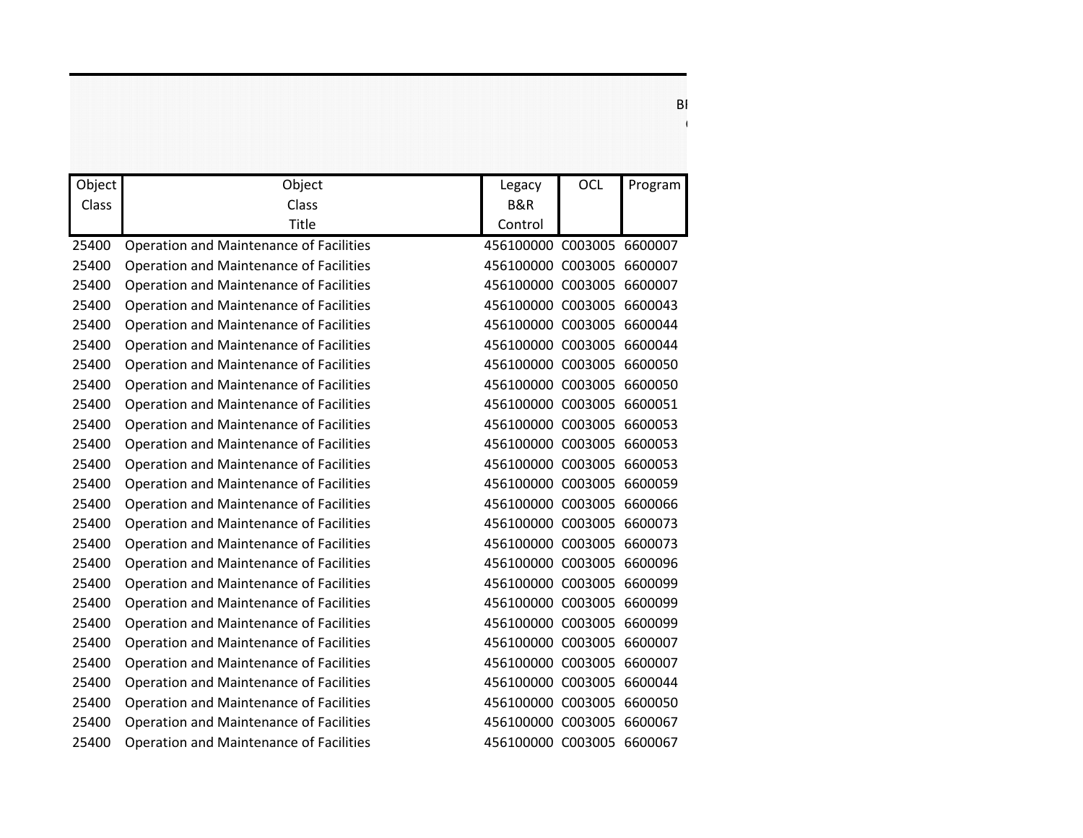|        |                                                |                           | <b>OCL</b> |         |
|--------|------------------------------------------------|---------------------------|------------|---------|
| Object | Object                                         | Legacy                    |            | Program |
| Class  | Class<br>Title                                 | B&R<br>Control            |            |         |
|        |                                                |                           |            |         |
| 25400  | Operation and Maintenance of Facilities        | 456100000 C003005 6600007 |            |         |
| 25400  | Operation and Maintenance of Facilities        | 456100000 C003005 6600007 |            |         |
| 25400  | Operation and Maintenance of Facilities        | 456100000 C003005 6600007 |            |         |
| 25400  | Operation and Maintenance of Facilities        | 456100000 C003005 6600043 |            |         |
| 25400  | Operation and Maintenance of Facilities        | 456100000 C003005 6600044 |            |         |
| 25400  | Operation and Maintenance of Facilities        | 456100000 C003005 6600044 |            |         |
| 25400  | Operation and Maintenance of Facilities        | 456100000 C003005 6600050 |            |         |
| 25400  | Operation and Maintenance of Facilities        | 456100000 C003005 6600050 |            |         |
| 25400  | <b>Operation and Maintenance of Facilities</b> | 456100000 C003005 6600051 |            |         |
| 25400  | Operation and Maintenance of Facilities        | 456100000 C003005 6600053 |            |         |
| 25400  | Operation and Maintenance of Facilities        | 456100000 C003005 6600053 |            |         |
| 25400  | Operation and Maintenance of Facilities        | 456100000 C003005 6600053 |            |         |
| 25400  | Operation and Maintenance of Facilities        | 456100000 C003005 6600059 |            |         |
| 25400  | Operation and Maintenance of Facilities        | 456100000 C003005 6600066 |            |         |
| 25400  | Operation and Maintenance of Facilities        | 456100000 C003005 6600073 |            |         |
| 25400  | Operation and Maintenance of Facilities        | 456100000 C003005 6600073 |            |         |
| 25400  | Operation and Maintenance of Facilities        | 456100000 C003005 6600096 |            |         |
| 25400  | Operation and Maintenance of Facilities        | 456100000 C003005 6600099 |            |         |
| 25400  | <b>Operation and Maintenance of Facilities</b> | 456100000 C003005 6600099 |            |         |
| 25400  | Operation and Maintenance of Facilities        | 456100000 C003005 6600099 |            |         |
| 25400  | <b>Operation and Maintenance of Facilities</b> | 456100000 C003005 6600007 |            |         |
| 25400  | Operation and Maintenance of Facilities        | 456100000 C003005 6600007 |            |         |
| 25400  | Operation and Maintenance of Facilities        | 456100000 C003005 6600044 |            |         |
| 25400  | Operation and Maintenance of Facilities        | 456100000 C003005 6600050 |            |         |
| 25400  | Operation and Maintenance of Facilities        | 456100000 C003005 6600067 |            |         |
| 25400  | <b>Operation and Maintenance of Facilities</b> | 456100000 C003005 6600067 |            |         |

 $\mathsf{BI}$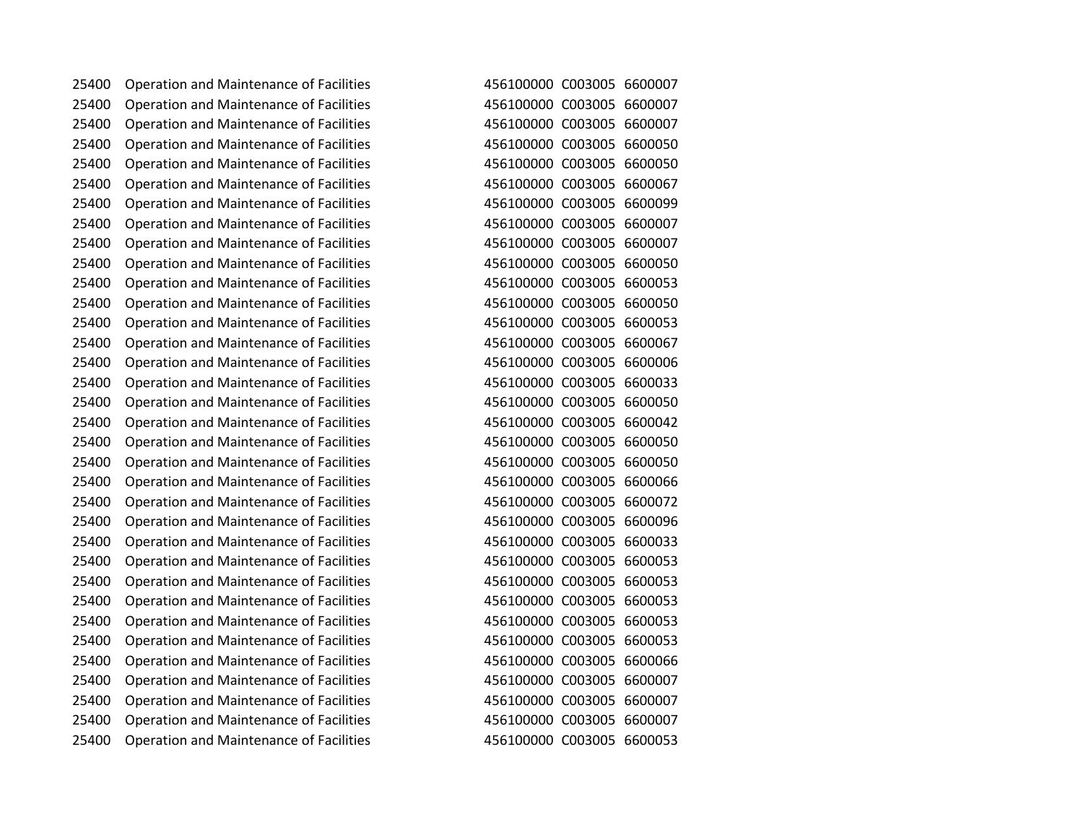Operation and Maintenance of Facilities 456100000 C003005 6600007 Operation and Maintenance of Facilities 456100000 C003005 6600007 Operation and Maintenance of Facilities 456100000 C003005 6600007 Operation and Maintenance of Facilities 456100000 C003005 6600050 Operation and Maintenance of Facilities 456100000 C003005 6600050 Operation and Maintenance of Facilities 456100000 C003005 6600067 Operation and Maintenance of Facilities 456100000 C003005 6600099 Operation and Maintenance of Facilities 456100000 C003005 6600007 Operation and Maintenance of Facilities 456100000 C003005 6600007 Operation and Maintenance of Facilities 456100000 C003005 6600050 Operation and Maintenance of Facilities 456100000 C003005 6600053 Operation and Maintenance of Facilities 456100000 C003005 6600050 Operation and Maintenance of Facilities 456100000 C003005 6600053 Operation and Maintenance of Facilities 456100000 C003005 6600067 Operation and Maintenance of Facilities 456100000 C003005 6600006 Operation and Maintenance of Facilities 456100000 C003005 6600033 Operation and Maintenance of Facilities 456100000 C003005 6600050 Operation and Maintenance of Facilities 456100000 C003005 6600042 Operation and Maintenance of Facilities 456100000 C003005 6600050 Operation and Maintenance of Facilities 456100000 C003005 6600050 Operation and Maintenance of Facilities 456100000 C003005 6600066 Operation and Maintenance of Facilities 456100000 C003005 6600072 Operation and Maintenance of Facilities 456100000 C003005 6600096 Operation and Maintenance of Facilities 456100000 C003005 6600033 Operation and Maintenance of Facilities 456100000 C003005 6600053 Operation and Maintenance of Facilities 456100000 C003005 6600053 Operation and Maintenance of Facilities 456100000 C003005 6600053 Operation and Maintenance of Facilities 456100000 C003005 6600053 Operation and Maintenance of Facilities 456100000 C003005 6600053 Operation and Maintenance of Facilities 456100000 C003005 6600066 Operation and Maintenance of Facilities 456100000 C003005 6600007 Operation and Maintenance of Facilities 456100000 C003005 6600007 Operation and Maintenance of Facilities 456100000 C003005 6600007 Operation and Maintenance of Facilities 456100000 C003005 6600053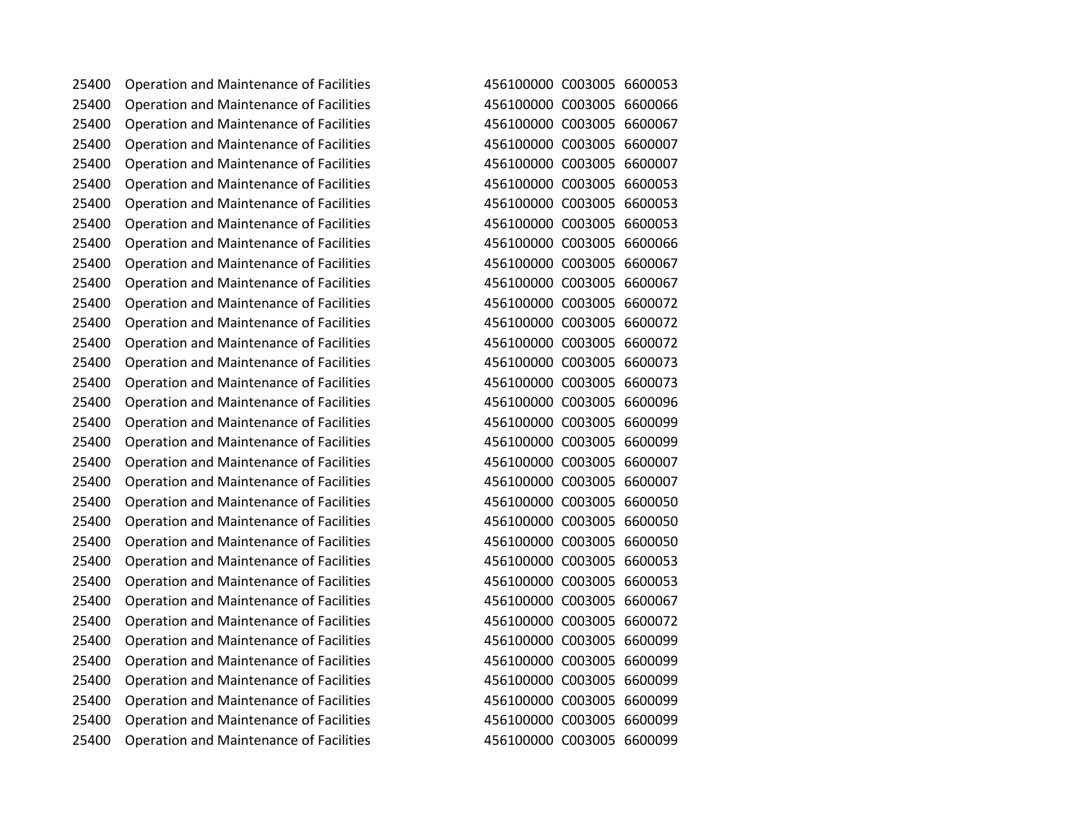Operation and Maintenance of Facilities 456100000 C003005 6600053 Operation and Maintenance of Facilities 456100000 C003005 6600066 Operation and Maintenance of Facilities 456100000 C003005 6600067 Operation and Maintenance of Facilities 456100000 C003005 6600007 Operation and Maintenance of Facilities 456100000 C003005 6600007 Operation and Maintenance of Facilities 456100000 C003005 6600053 Operation and Maintenance of Facilities 456100000 C003005 6600053 Operation and Maintenance of Facilities 456100000 C003005 6600053 Operation and Maintenance of Facilities 456100000 C003005 6600066 Operation and Maintenance of Facilities 456100000 C003005 6600067 Operation and Maintenance of Facilities 456100000 C003005 6600067 Operation and Maintenance of Facilities 456100000 C003005 6600072 Operation and Maintenance of Facilities 456100000 C003005 6600072 Operation and Maintenance of Facilities 456100000 C003005 6600072 Operation and Maintenance of Facilities 456100000 C003005 6600073 Operation and Maintenance of Facilities 456100000 C003005 6600073 Operation and Maintenance of Facilities 456100000 C003005 6600096 Operation and Maintenance of Facilities 456100000 C003005 6600099 Operation and Maintenance of Facilities 456100000 C003005 6600099 Operation and Maintenance of Facilities 456100000 C003005 6600007 Operation and Maintenance of Facilities 456100000 C003005 6600007 Operation and Maintenance of Facilities 456100000 C003005 6600050 Operation and Maintenance of Facilities 456100000 C003005 6600050 Operation and Maintenance of Facilities 456100000 C003005 6600050 Operation and Maintenance of Facilities 456100000 C003005 6600053 Operation and Maintenance of Facilities 456100000 C003005 6600053 Operation and Maintenance of Facilities 456100000 C003005 6600067 Operation and Maintenance of Facilities 456100000 C003005 6600072 Operation and Maintenance of Facilities 456100000 C003005 6600099 Operation and Maintenance of Facilities 456100000 C003005 6600099 Operation and Maintenance of Facilities 456100000 C003005 6600099 Operation and Maintenance of Facilities 456100000 C003005 6600099 Operation and Maintenance of Facilities 456100000 C003005 6600099 Operation and Maintenance of Facilities 456100000 C003005 6600099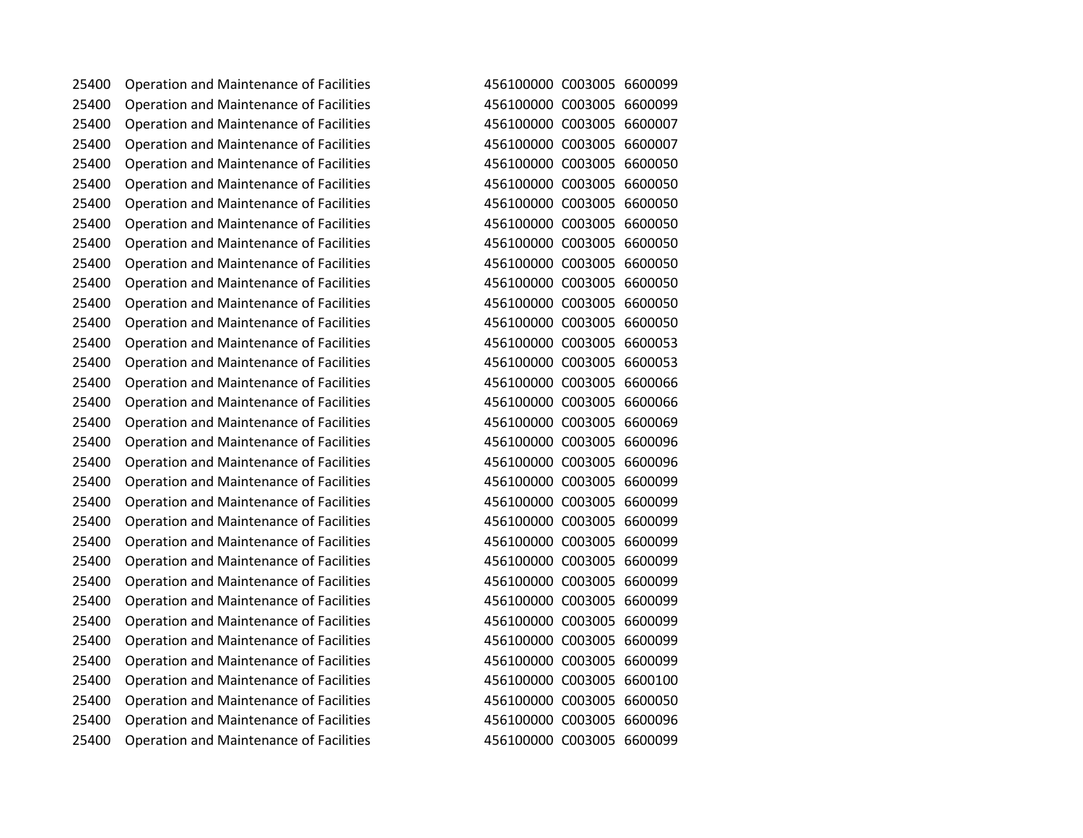Operation and Maintenance of Facilities 456100000 C003005 6600099 Operation and Maintenance of Facilities 456100000 C003005 6600099 Operation and Maintenance of Facilities 456100000 C003005 6600007 Operation and Maintenance of Facilities 456100000 C003005 6600007 Operation and Maintenance of Facilities 456100000 C003005 6600050 Operation and Maintenance of Facilities 456100000 C003005 6600050 Operation and Maintenance of Facilities 456100000 C003005 6600050 Operation and Maintenance of Facilities 456100000 C003005 6600050 Operation and Maintenance of Facilities 456100000 C003005 6600050 Operation and Maintenance of Facilities 456100000 C003005 6600050 Operation and Maintenance of Facilities 456100000 C003005 6600050 Operation and Maintenance of Facilities 456100000 C003005 6600050 Operation and Maintenance of Facilities 456100000 C003005 6600050 Operation and Maintenance of Facilities 456100000 C003005 6600053 Operation and Maintenance of Facilities 456100000 C003005 6600053 Operation and Maintenance of Facilities 456100000 C003005 6600066 Operation and Maintenance of Facilities 456100000 C003005 6600066 Operation and Maintenance of Facilities 456100000 C003005 6600069 Operation and Maintenance of Facilities 456100000 C003005 6600096 Operation and Maintenance of Facilities 456100000 C003005 6600096 Operation and Maintenance of Facilities 456100000 C003005 6600099 Operation and Maintenance of Facilities 456100000 C003005 6600099 Operation and Maintenance of Facilities 456100000 C003005 6600099 Operation and Maintenance of Facilities 456100000 C003005 6600099 Operation and Maintenance of Facilities 456100000 C003005 6600099 Operation and Maintenance of Facilities 456100000 C003005 6600099 Operation and Maintenance of Facilities 456100000 C003005 6600099 Operation and Maintenance of Facilities 456100000 C003005 6600099 Operation and Maintenance of Facilities 456100000 C003005 6600099 Operation and Maintenance of Facilities 456100000 C003005 6600099 Operation and Maintenance of Facilities 456100000 C003005 6600100 Operation and Maintenance of Facilities 456100000 C003005 6600050 Operation and Maintenance of Facilities 456100000 C003005 6600096 Operation and Maintenance of Facilities 456100000 C003005 6600099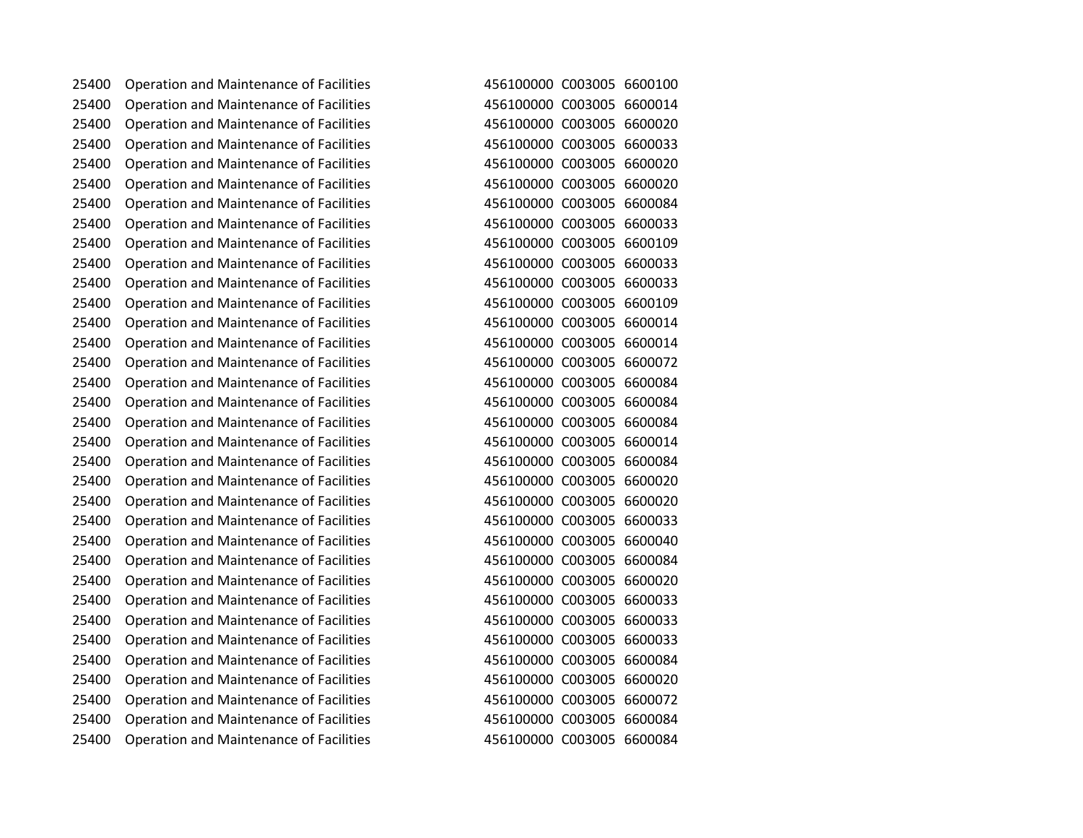Operation and Maintenance of Facilities 456100000 C003005 6600100 Operation and Maintenance of Facilities 456100000 C003005 6600014 Operation and Maintenance of Facilities 456100000 C003005 6600020 Operation and Maintenance of Facilities 456100000 C003005 6600033 Operation and Maintenance of Facilities 456100000 C003005 6600020 Operation and Maintenance of Facilities 456100000 C003005 6600020 Operation and Maintenance of Facilities 456100000 C003005 6600084 Operation and Maintenance of Facilities 456100000 C003005 6600033 Operation and Maintenance of Facilities 456100000 C003005 6600109 Operation and Maintenance of Facilities 456100000 C003005 6600033 Operation and Maintenance of Facilities 456100000 C003005 6600033 Operation and Maintenance of Facilities 456100000 C003005 6600109 Operation and Maintenance of Facilities 456100000 C003005 6600014 Operation and Maintenance of Facilities 456100000 C003005 6600014 Operation and Maintenance of Facilities 456100000 C003005 6600072 Operation and Maintenance of Facilities 456100000 C003005 6600084 Operation and Maintenance of Facilities 456100000 C003005 6600084 Operation and Maintenance of Facilities 456100000 C003005 6600084 Operation and Maintenance of Facilities 456100000 C003005 6600014 Operation and Maintenance of Facilities 456100000 C003005 6600084 Operation and Maintenance of Facilities 456100000 C003005 6600020 Operation and Maintenance of Facilities 456100000 C003005 6600020 Operation and Maintenance of Facilities 456100000 C003005 6600033 Operation and Maintenance of Facilities 456100000 C003005 6600040 Operation and Maintenance of Facilities 456100000 C003005 6600084 Operation and Maintenance of Facilities 456100000 C003005 6600020 Operation and Maintenance of Facilities 456100000 C003005 6600033 Operation and Maintenance of Facilities 456100000 C003005 6600033 Operation and Maintenance of Facilities 456100000 C003005 6600033 Operation and Maintenance of Facilities 456100000 C003005 6600084 Operation and Maintenance of Facilities 456100000 C003005 6600020 Operation and Maintenance of Facilities 456100000 C003005 6600072 Operation and Maintenance of Facilities 456100000 C003005 6600084 Operation and Maintenance of Facilities 456100000 C003005 6600084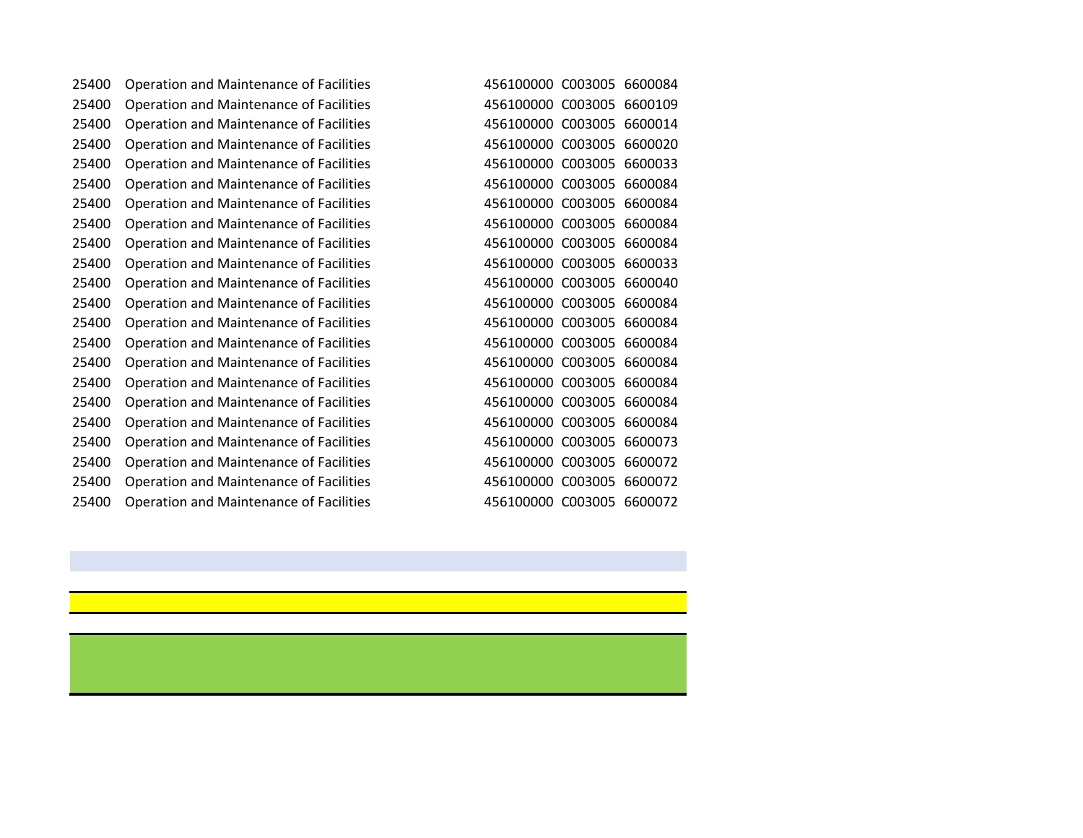Operation and Maintenance of Facilities 456100000 C003005 6600084 Operation and Maintenance of Facilities 456100000 C003005 6600109 Operation and Maintenance of Facilities 456100000 C003005 6600014 Operation and Maintenance of Facilities 456100000 C003005 6600020 Operation and Maintenance of Facilities 456100000 C003005 6600033 Operation and Maintenance of Facilities 456100000 C003005 6600084 Operation and Maintenance of Facilities 456100000 C003005 6600084 Operation and Maintenance of Facilities 456100000 C003005 6600084 Operation and Maintenance of Facilities 456100000 C003005 6600084 Operation and Maintenance of Facilities 456100000 C003005 6600033 Operation and Maintenance of Facilities 456100000 C003005 6600040 Operation and Maintenance of Facilities 456100000 C003005 6600084 Operation and Maintenance of Facilities 456100000 C003005 6600084 Operation and Maintenance of Facilities 456100000 C003005 6600084 Operation and Maintenance of Facilities 456100000 C003005 6600084 Operation and Maintenance of Facilities 456100000 C003005 6600084 Operation and Maintenance of Facilities 456100000 C003005 6600084 Operation and Maintenance of Facilities 456100000 C003005 6600084 Operation and Maintenance of Facilities 456100000 C003005 6600073 Operation and Maintenance of Facilities 456100000 C003005 6600072 Operation and Maintenance of Facilities 456100000 C003005 6600072 Operation and Maintenance of Facilities 456100000 C003005 6600072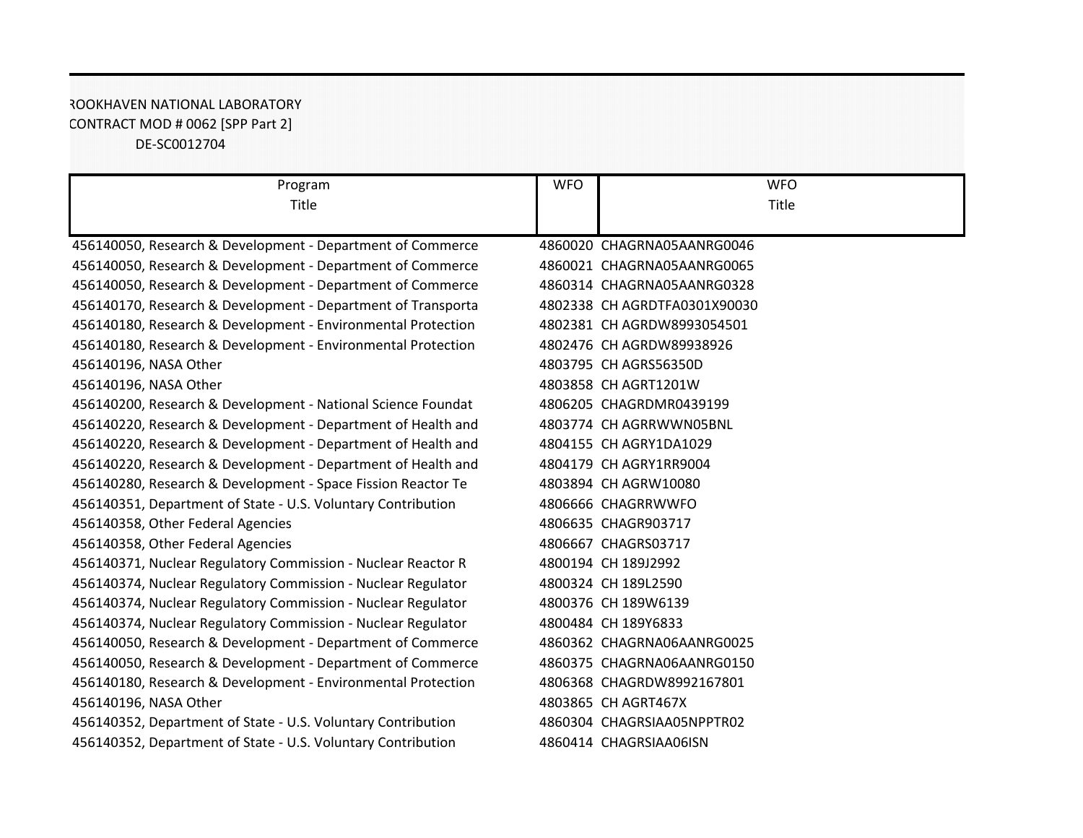## ROOKHAVEN NATIONAL LABORATORY CONTRACT MOD # 0062 [SPP Part 2] DE-SC0012704

| Program                                                      | <b>WFO</b> | <b>WFO</b>                   |
|--------------------------------------------------------------|------------|------------------------------|
| Title                                                        |            | Title                        |
|                                                              |            |                              |
| 456140050, Research & Development - Department of Commerce   |            | 4860020 CHAGRNA05AANRG0046   |
| 456140050, Research & Development - Department of Commerce   |            | 4860021 CHAGRNA05AANRG0065   |
| 456140050, Research & Development - Department of Commerce   |            | 4860314 CHAGRNA05AANRG0328   |
| 456140170, Research & Development - Department of Transporta |            | 4802338 CH AGRDTFA0301X90030 |
| 456140180, Research & Development - Environmental Protection |            | 4802381 CH AGRDW8993054501   |
| 456140180, Research & Development - Environmental Protection |            | 4802476 CH AGRDW89938926     |
| 456140196, NASA Other                                        |            | 4803795 CH AGRS56350D        |
| 456140196, NASA Other                                        |            | 4803858 CH AGRT1201W         |
| 456140200, Research & Development - National Science Foundat |            | 4806205 CHAGRDMR0439199      |
| 456140220, Research & Development - Department of Health and |            | 4803774 CH AGRRWWN05BNL      |
| 456140220, Research & Development - Department of Health and |            | 4804155 CH AGRY1DA1029       |
| 456140220, Research & Development - Department of Health and |            | 4804179 CH AGRY1RR9004       |
| 456140280, Research & Development - Space Fission Reactor Te |            | 4803894 CH AGRW10080         |
| 456140351, Department of State - U.S. Voluntary Contribution |            | 4806666 CHAGRRWWFO           |
| 456140358, Other Federal Agencies                            |            | 4806635 CHAGR903717          |
| 456140358, Other Federal Agencies                            |            | 4806667 CHAGRS03717          |
| 456140371, Nuclear Regulatory Commission - Nuclear Reactor R |            | 4800194 CH 189J2992          |
| 456140374, Nuclear Regulatory Commission - Nuclear Regulator |            | 4800324 CH 189L2590          |
| 456140374, Nuclear Regulatory Commission - Nuclear Regulator |            | 4800376 CH 189W6139          |
| 456140374, Nuclear Regulatory Commission - Nuclear Regulator |            | 4800484 CH 189Y6833          |
| 456140050, Research & Development - Department of Commerce   |            | 4860362 CHAGRNA06AANRG0025   |
| 456140050, Research & Development - Department of Commerce   |            | 4860375 CHAGRNA06AANRG0150   |
| 456140180, Research & Development - Environmental Protection |            | 4806368 CHAGRDW8992167801    |
| 456140196, NASA Other                                        |            | 4803865 CH AGRT467X          |
| 456140352, Department of State - U.S. Voluntary Contribution |            | 4860304 CHAGRSIAA05NPPTR02   |
| 456140352, Department of State - U.S. Voluntary Contribution |            | 4860414 CHAGRSIAA06ISN       |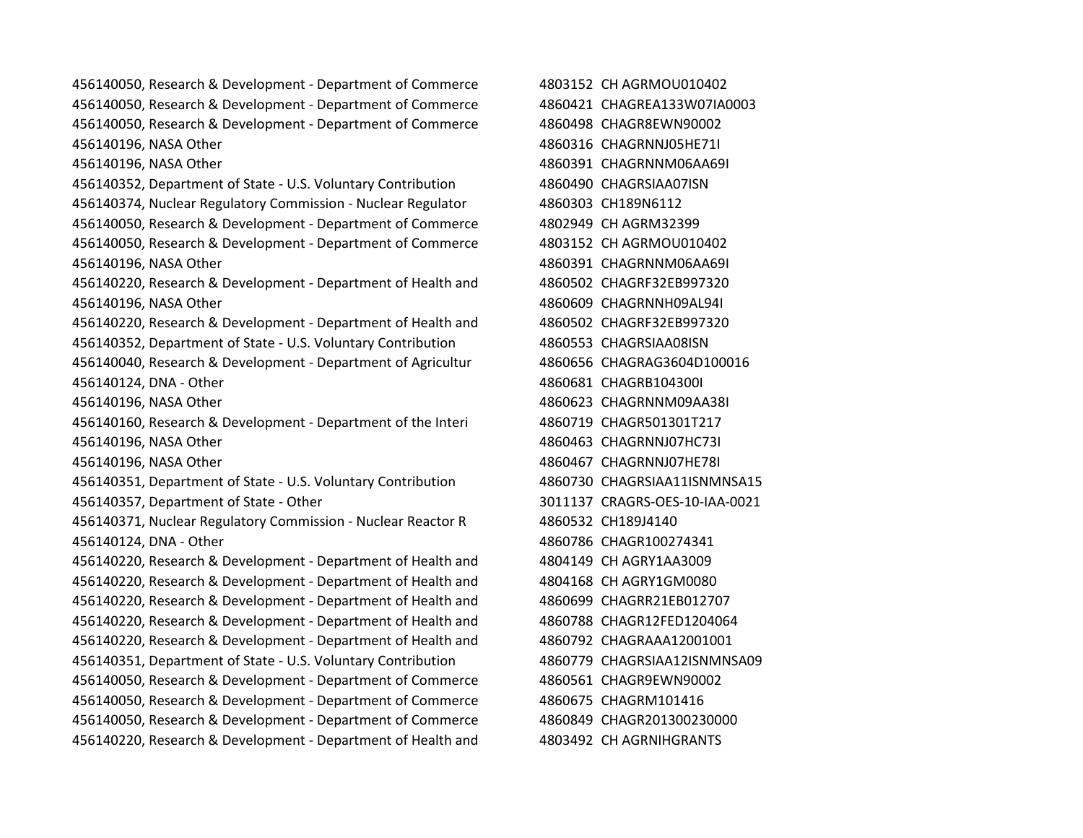456140050, Research & Development - Department of Commerce 4803152 CH AGRMOU010402 456140050, Research & Development - Department of Commerce 4860421 CHAGREA133W07IA0003 456140050, Research & Development - Department of Commerce 4860498 CHAGR8EWN90002 456140196, NASA Other 4860316 CHAGRNNJ05HE71I 456140196, NASA Other 4860391 CHAGRNNM06AA69I 456140352, Department of State - U.S. Voluntary Contribution 4860490 CHAGRSIAA07ISN 456140374, Nuclear Regulatory Commission - Nuclear Regulator 4860303 CH189N6112 456140050, Research & Development - Department of Commerce 4802949 CH AGRM32399 456140050, Research & Development - Department of Commerce 4803152 CH AGRMOU010402 456140196, NASA Other 4860391 CHAGRNNM06AA69I 456140220, Research & Development - Department of Health and 4860502 CHAGRF32EB997320 456140196, NASA Other 4860609 CHAGRNNH09AL94I 456140220, Research & Development - Department of Health and 4860502 CHAGRF32EB997320 456140352, Department of State - U.S. Voluntary Contribution 4860553 CHAGRSIAA08ISN 456140040, Research & Development - Department of Agricultur 4860656 CHAGRAG3604D100016 456140124, DNA - Other 4860681 CHAGRB104300I 456140196, NASA Other 4860623 CHAGRNNM09AA38I 456140160, Research & Development - Department of the Interi 4860719 CHAGR501301T217 456140196, NASA Other 4860463 CHAGRNNJ07HC73I 456140196, NASA Other 4860467 CHAGRNNJ07HE78I 456140351, Department of State - U.S. Voluntary Contribution 4860730 CHAGRSIAA11ISNMNSA15 456140357, Department of State - Other 3011137 CRAGRS-OES-10-IAA-0021 456140371, Nuclear Regulatory Commission - Nuclear Reactor R 4860532 CH189J4140 456140124, DNA - Other 4860786 CHAGR100274341 456140220, Research & Development - Department of Health and 4804149 CH AGRY1AA3009 456140220, Research & Development - Department of Health and 4804168 CH AGRY1GM0080 456140220, Research & Development - Department of Health and 4860699 CHAGRR21EB012707 456140220, Research & Development - Department of Health and 4860788 CHAGR12FED1204064 456140220, Research & Development - Department of Health and 4860792 CHAGRAAA12001001 456140351, Department of State - U.S. Voluntary Contribution 4860779 CHAGRSIAA12ISNMNSA09 456140050, Research & Development - Department of Commerce 4860561 CHAGR9EWN90002 456140050, Research & Development - Department of Commerce 4860675 CHAGRM101416 456140050, Research & Development - Department of Commerce 4860849 CHAGR201300230000

456140220, Research & Development - Department of Health and 4803492 CH AGRNIHGRANTS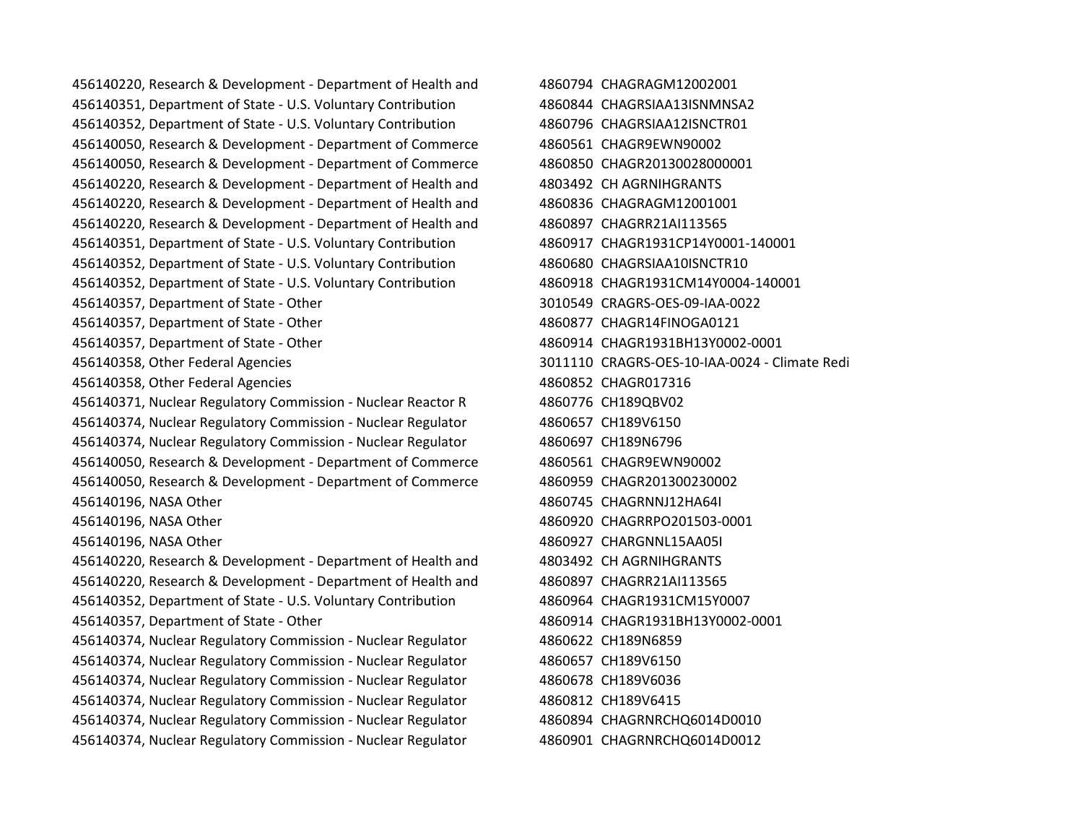456140220, Research & Development - Department of Health and 4860794 CHAGRAGM12002001 456140351, Department of State - U.S. Voluntary Contribution 4860844 CHAGRSIAA13ISNMNSA2 456140352, Department of State - U.S. Voluntary Contribution 4860796 CHAGRSIAA12ISNCTR01 456140050, Research & Development - Department of Commerce 4860561 CHAGR9EWN90002 456140050, Research & Development - Department of Commerce 4860850 CHAGR20130028000001 456140220, Research & Development - Department of Health and 4803492 CH AGRNIHGRANTS 456140220, Research & Development - Department of Health and 4860836 CHAGRAGM12001001 456140220, Research & Development - Department of Health and 4860897 CHAGRR21AI113565 456140351, Department of State - U.S. Voluntary Contribution 4860917 CHAGR1931CP14Y0001-140001 456140352, Department of State - U.S. Voluntary Contribution 4860680 CHAGRSIAA10ISNCTR10 456140352, Department of State - U.S. Voluntary Contribution 4860918 CHAGR1931CM14Y0004-140001 456140357, Department of State - Other 3010549 CRAGRS-OES-09-IAA-0022 456140357, Department of State - Other 4860877 CHAGR14FINOGA0121 456140357, Department of State - Other 4860914 CHAGR1931BH13Y0002-0001 456140358, Other Federal Agencies 3011110 CRAGRS-OES-10-IAA-0024 - Climate Redi 456140358, Other Federal Agencies 4860852 CHAGR017316 456140371, Nuclear Regulatory Commission - Nuclear Reactor R 4860776 CH189QBV02 456140374, Nuclear Regulatory Commission - Nuclear Regulator 4860657 CH189V6150 456140374, Nuclear Regulatory Commission - Nuclear Regulator 4860697 CH189N6796 456140050, Research & Development - Department of Commerce 4860561 CHAGR9EWN90002 456140050, Research & Development - Department of Commerce 4860959 CHAGR201300230002 456140196, NASA Other 4860745 CHAGRNNJ12HA64I 456140196, NASA Other 4860920 CHAGRRPO201503-0001 456140196, NASA Other 4860927 CHARGNNL15AA05I 456140220, Research & Development - Department of Health and 4803492 CH AGRNIHGRANTS 456140220, Research & Development - Department of Health and 4860897 CHAGRR21AI113565 456140352, Department of State - U.S. Voluntary Contribution 4860964 CHAGR1931CM15Y0007 456140357, Department of State - Other 4860914 CHAGR1931BH13Y0002-0001 456140374, Nuclear Regulatory Commission - Nuclear Regulator 4860622 CH189N6859 456140374, Nuclear Regulatory Commission - Nuclear Regulator 4860657 CH189V6150 456140374, Nuclear Regulatory Commission - Nuclear Regulator 4860678 CH189V6036 456140374, Nuclear Regulatory Commission - Nuclear Regulator 4860812 CH189V6415 456140374, Nuclear Regulatory Commission - Nuclear Regulator 4860894 CHAGRNRCHQ6014D0010 456140374, Nuclear Regulatory Commission - Nuclear Regulator 4860901 CHAGRNRCHQ6014D0012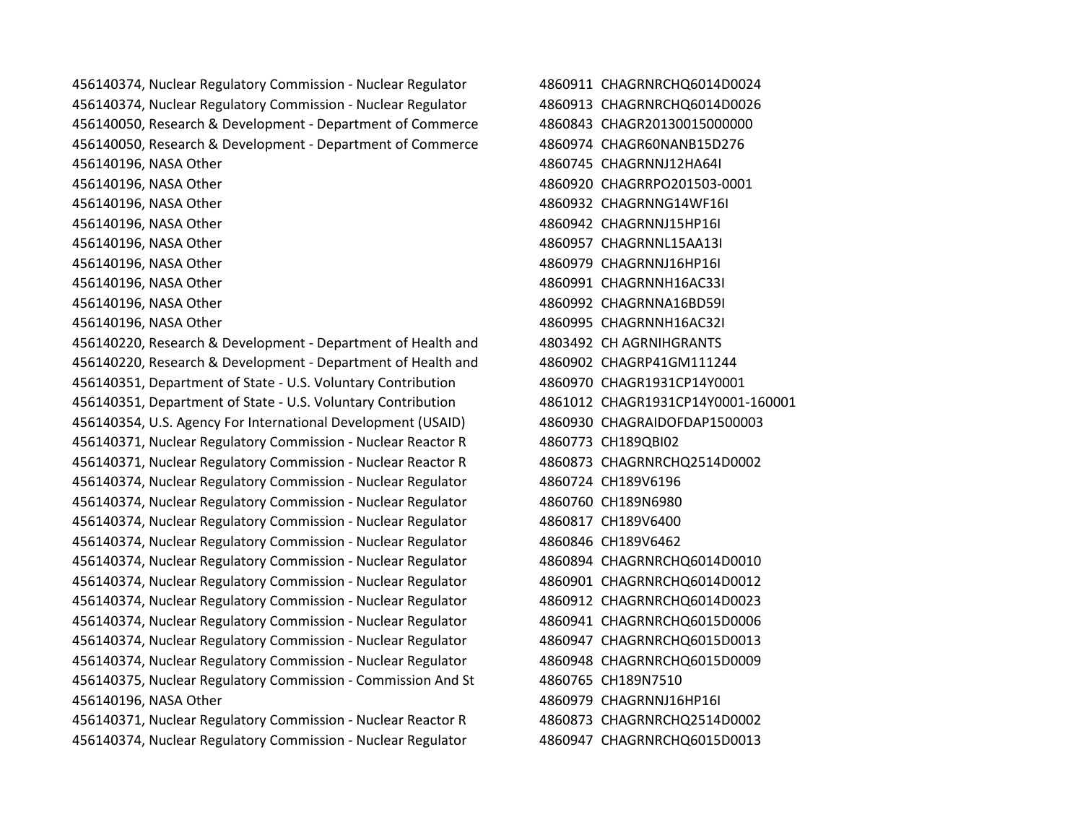| 456140374, Nuclear Regulatory Commission - Nuclear Regulator |  |
|--------------------------------------------------------------|--|
| 456140374, Nuclear Regulatory Commission - Nuclear Regulator |  |
| 456140050, Research & Development - Department of Commerce   |  |
| 456140050, Research & Development - Department of Commerce   |  |
| 456140196, NASA Other                                        |  |
| 456140196, NASA Other                                        |  |
| 456140196, NASA Other                                        |  |
| 456140196, NASA Other                                        |  |
| 456140196, NASA Other                                        |  |
| 456140196, NASA Other                                        |  |
| 456140196, NASA Other                                        |  |
| 456140196, NASA Other                                        |  |
| 456140196, NASA Other                                        |  |
| 456140220, Research & Development - Department of Health and |  |
| 456140220, Research & Development - Department of Health and |  |
| 456140351, Department of State - U.S. Voluntary Contribution |  |
| 456140351, Department of State - U.S. Voluntary Contribution |  |
| 456140354, U.S. Agency For International Development (USAID) |  |
| 456140371, Nuclear Regulatory Commission - Nuclear Reactor R |  |
| 456140371, Nuclear Regulatory Commission - Nuclear Reactor R |  |
| 456140374, Nuclear Regulatory Commission - Nuclear Regulator |  |
| 456140374, Nuclear Regulatory Commission - Nuclear Regulator |  |
| 456140374, Nuclear Regulatory Commission - Nuclear Regulator |  |
| 456140374, Nuclear Regulatory Commission - Nuclear Regulator |  |
| 456140374, Nuclear Regulatory Commission - Nuclear Regulator |  |
| 456140374, Nuclear Regulatory Commission - Nuclear Regulator |  |
| 456140374, Nuclear Regulatory Commission - Nuclear Regulator |  |
| 456140374, Nuclear Regulatory Commission - Nuclear Regulator |  |
| 456140374, Nuclear Regulatory Commission - Nuclear Regulator |  |
| 456140374, Nuclear Regulatory Commission - Nuclear Regulator |  |
| 456140375, Nuclear Regulatory Commission - Commission And St |  |
| 456140196, NASA Other                                        |  |
| 456140371, Nuclear Regulatory Commission - Nuclear Reactor R |  |

456140374, Nuclear Regulatory Commission - Nuclear Regulator 4860947 CHAGRNRCHQ6015D0013

4860911 CHAGRNRCHO6014D0024 4860913 CHAGRNRCHQ6014D0026 4860843 CHAGR20130015000000 4860974 CHAGR60NANB15D276 4860745 CHAGRNNJ12HA64I 4860920 CHAGRRPO201503-0001 4860932 CHAGRNNG14WF16I 4860942 CHAGRNNJ15HP16I 4860957 CHAGRNNL15AA13I 4860979 CHAGRNNJ16HP16I 4860991 CHAGRNNH16AC33I 4860992 CHAGRNNA16BD59I 4860995 CHAGRNNH16AC32L 4803492 CH AGRNIHGRANTS 4860902 CHAGRP41GM111244 4860970 CHAGR1931CP14Y0001 4861012 CHAGR1931CP14Y0001-160001 4860930 CHAGRAIDOFDAP1500003 4860773 CH189QBI02 4860873 CHAGRNRCHQ2514D0002 4860724 CH189V6196 4860760 CH189N6980 4860817 CH189V6400 4860846 CH189V6462 4860894 CHAGRNRCHQ6014D0010 4860901 CHAGRNRCHQ6014D0012 4860912 CHAGRNRCHQ6014D0023 4860941 CHAGRNRCHQ6015D0006 4860947 CHAGRNRCHQ6015D0013 4860948 CHAGRNRCHQ6015D0009 4860765 CH189N7510 4860979 CHAGRNNJ16HP16I 4860873 CHAGRNRCHQ2514D0002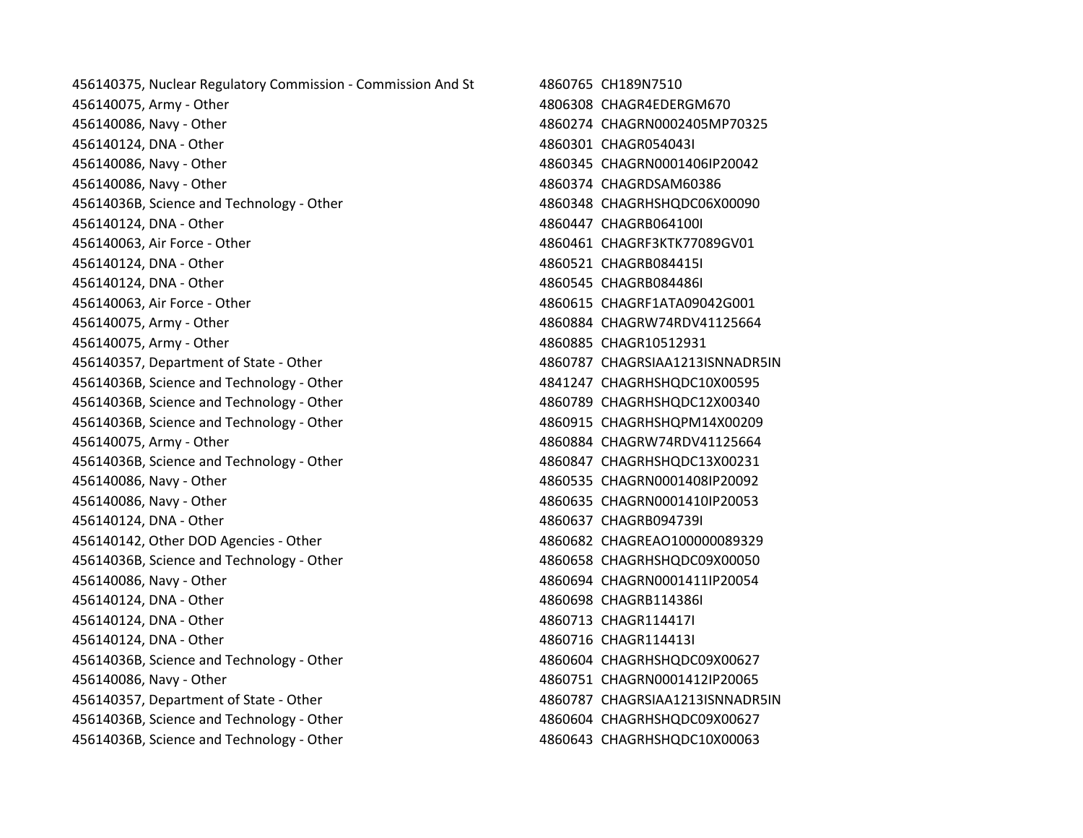| 456140375, Nuclear Regulatory Commission - Commission And St | 4860765 CH189N7510              |
|--------------------------------------------------------------|---------------------------------|
| 456140075, Army - Other                                      | 4806308 CHAGR4EDERGM670         |
| 456140086, Navy - Other                                      | 4860274 CHAGRN0002405MP70325    |
| 456140124, DNA - Other                                       | 4860301 CHAGR054043I            |
| 456140086, Navy - Other                                      | 4860345 CHAGRN0001406IP20042    |
| 456140086, Navy - Other                                      | 4860374 CHAGRDSAM60386          |
| 45614036B, Science and Technology - Other                    | 4860348 CHAGRHSHQDC06X00090     |
| 456140124, DNA - Other                                       | 4860447 CHAGRB064100I           |
| 456140063, Air Force - Other                                 | 4860461 CHAGRF3KTK77089GV01     |
| 456140124, DNA - Other                                       | 4860521 CHAGRB084415I           |
| 456140124, DNA - Other                                       | 4860545 CHAGRB084486I           |
| 456140063, Air Force - Other                                 | 4860615 CHAGRF1ATA09042G001     |
| 456140075, Army - Other                                      | 4860884 CHAGRW74RDV41125664     |
| 456140075, Army - Other                                      | 4860885 CHAGR10512931           |
| 456140357, Department of State - Other                       | 4860787 CHAGRSIAA1213ISNNADR5IN |
| 45614036B, Science and Technology - Other                    | 4841247 CHAGRHSHQDC10X00595     |
| 45614036B, Science and Technology - Other                    | 4860789 CHAGRHSHQDC12X00340     |
| 45614036B, Science and Technology - Other                    | 4860915 CHAGRHSHQPM14X00209     |
| 456140075, Army - Other                                      | 4860884 CHAGRW74RDV41125664     |
| 45614036B, Science and Technology - Other                    | 4860847 CHAGRHSHQDC13X00231     |
| 456140086, Navy - Other                                      | 4860535 CHAGRN0001408lP20092    |
| 456140086, Navy - Other                                      | 4860635 CHAGRN0001410IP20053    |
| 456140124, DNA - Other                                       | 4860637 CHAGRB094739I           |
| 456140142, Other DOD Agencies - Other                        | 4860682 CHAGREAO100000089329    |
| 45614036B, Science and Technology - Other                    | 4860658 CHAGRHSHQDC09X00050     |
| 456140086, Navy - Other                                      | 4860694 CHAGRN0001411IP20054    |
| 456140124, DNA - Other                                       | 4860698 CHAGRB114386I           |
| 456140124, DNA - Other                                       | 4860713 CHAGR114417I            |
| 456140124, DNA - Other                                       | 4860716 CHAGR114413I            |
| 45614036B, Science and Technology - Other                    | 4860604 CHAGRHSHQDC09X00627     |
| 456140086, Navy - Other                                      | 4860751 CHAGRN0001412lP20065    |
| 456140357, Department of State - Other                       | 4860787 CHAGRSIAA1213ISNNADR5IN |
| 45614036B, Science and Technology - Other                    | 4860604 CHAGRHSHQDC09X00627     |
| 45614036B, Science and Technology - Other                    | 4860643 CHAGRHSHQDC10X00063     |
|                                                              |                                 |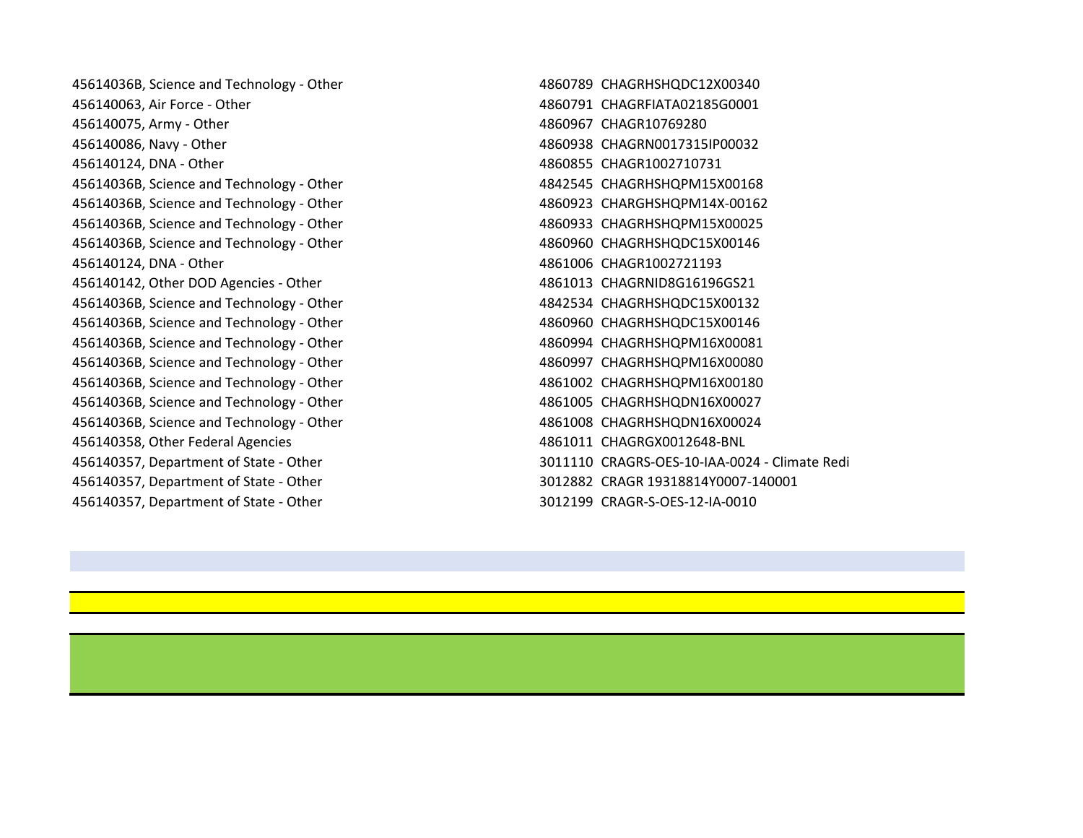45614036B, Science and Technology - Other 4860789 CHAGRHSHQDC12X00340 456140063, Air Force - Other 4860791 CHAGRFIATA02185G0001 456140075, Army - Other 4860967 CHAGR10769280 456140086, Navy - Other 4860938 CHAGRN0017315IP00032 456140124, DNA - Other 4860855 CHAGR1002710731 45614036B, Science and Technology - Other 4842545 CHAGRHSHQPM15X00168 45614036B, Science and Technology - Other 4860923 CHARGHSHQPM14X-00162 45614036B, Science and Technology - Other 4860933 CHAGRHSHQPM15X00025 45614036B, Science and Technology - Other 4860960 CHAGRHSHQDC15X00146 456140124, DNA - Other 4861006 CHAGR1002721193 456140142, Other DOD Agencies - Other 4861013 CHAGRNID8G16196GS21 45614036B, Science and Technology - Other 4842534 CHAGRHSHQDC15X00132 45614036B, Science and Technology - Other 4860960 CHAGRHSHQDC15X00146 45614036B, Science and Technology - Other 4860994 CHAGRHSHQPM16X00081 45614036B, Science and Technology - Other 4860997 CHAGRHSHQPM16X00080 45614036B, Science and Technology - Other 4861002 CHAGRHSHQPM16X00180 45614036B, Science and Technology - Other 4861005 CHAGRHSHQDN16X00027 45614036B, Science and Technology - Other 4861008 CHAGRHSHQDN16X00024 456140358, Other Federal Agencies 4861011 CHAGRGX0012648-BNL 456140357, Department of State - Other 3011110 CRAGRS-OES-10-IAA-0024 - Climate Redi 456140357, Department of State - Other 3012882 CRAGR 19318814Y0007-140001 456140357, Department of State - Other 3012199 CRAGR-S-OES-12-IA-0010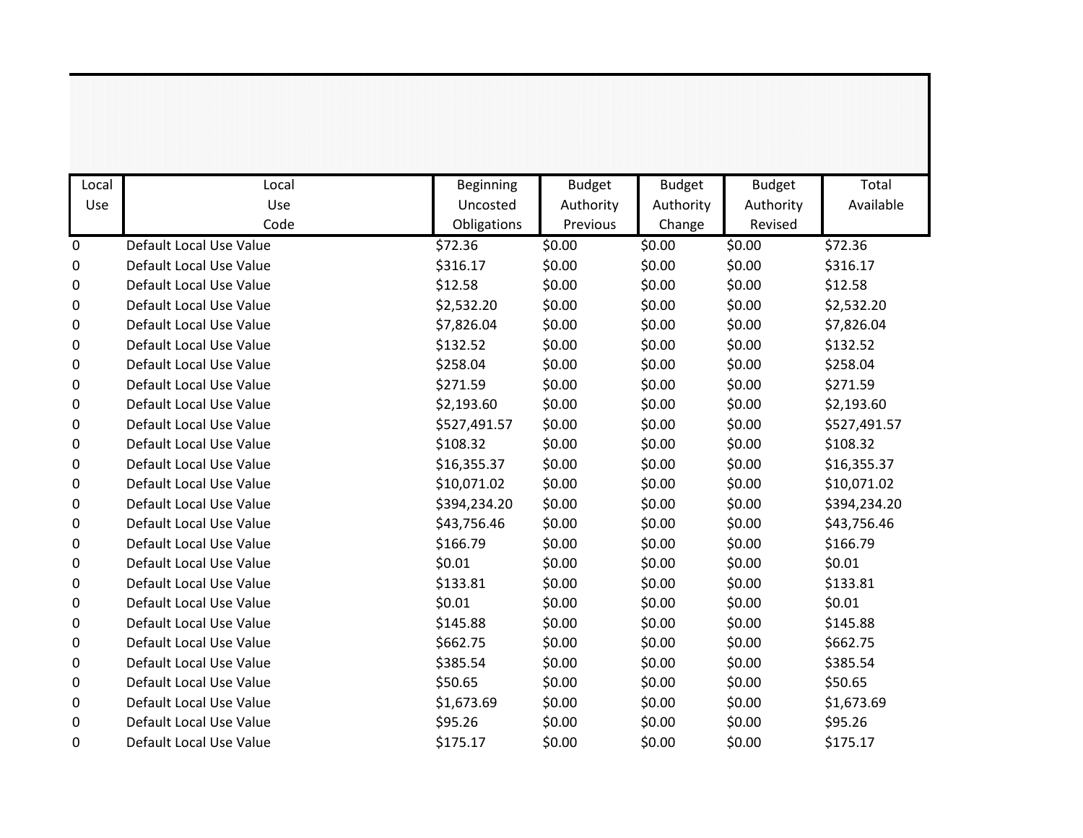| Local       | Local                   | Beginning    | <b>Budget</b> | <b>Budget</b> | <b>Budget</b> | Total        |
|-------------|-------------------------|--------------|---------------|---------------|---------------|--------------|
| Use         | Use                     | Uncosted     | Authority     | Authority     | Authority     | Available    |
|             | Code                    | Obligations  | Previous      | Change        | Revised       |              |
| $\mathbf 0$ | Default Local Use Value | \$72.36      | \$0.00        | \$0.00        | \$0.00        | \$72.36      |
| 0           | Default Local Use Value | \$316.17     | \$0.00        | \$0.00        | \$0.00        | \$316.17     |
| 0           | Default Local Use Value | \$12.58      | \$0.00        | \$0.00        | \$0.00        | \$12.58      |
| 0           | Default Local Use Value | \$2,532.20   | \$0.00        | \$0.00        | \$0.00        | \$2,532.20   |
| 0           | Default Local Use Value | \$7,826.04   | \$0.00        | \$0.00        | \$0.00        | \$7,826.04   |
| 0           | Default Local Use Value | \$132.52     | \$0.00        | \$0.00        | \$0.00        | \$132.52     |
| 0           | Default Local Use Value | \$258.04     | \$0.00        | \$0.00        | \$0.00        | \$258.04     |
| 0           | Default Local Use Value | \$271.59     | \$0.00        | \$0.00        | \$0.00        | \$271.59     |
| 0           | Default Local Use Value | \$2,193.60   | \$0.00        | \$0.00        | \$0.00        | \$2,193.60   |
| 0           | Default Local Use Value | \$527,491.57 | \$0.00        | \$0.00        | \$0.00        | \$527,491.57 |
| 0           | Default Local Use Value | \$108.32     | \$0.00        | \$0.00        | \$0.00        | \$108.32     |
| 0           | Default Local Use Value | \$16,355.37  | \$0.00        | \$0.00        | \$0.00        | \$16,355.37  |
| 0           | Default Local Use Value | \$10,071.02  | \$0.00        | \$0.00        | \$0.00        | \$10,071.02  |
| 0           | Default Local Use Value | \$394,234.20 | \$0.00        | \$0.00        | \$0.00        | \$394,234.20 |
| 0           | Default Local Use Value | \$43,756.46  | \$0.00        | \$0.00        | \$0.00        | \$43,756.46  |
| 0           | Default Local Use Value | \$166.79     | \$0.00        | \$0.00        | \$0.00        | \$166.79     |
| 0           | Default Local Use Value | \$0.01       | \$0.00        | \$0.00        | \$0.00        | \$0.01       |
| 0           | Default Local Use Value | \$133.81     | \$0.00        | \$0.00        | \$0.00        | \$133.81     |
| 0           | Default Local Use Value | \$0.01       | \$0.00        | \$0.00        | \$0.00        | \$0.01       |
| 0           | Default Local Use Value | \$145.88     | \$0.00        | \$0.00        | \$0.00        | \$145.88     |
| 0           | Default Local Use Value | \$662.75     | \$0.00        | \$0.00        | \$0.00        | \$662.75     |
| 0           | Default Local Use Value | \$385.54     | \$0.00        | \$0.00        | \$0.00        | \$385.54     |
| 0           | Default Local Use Value | \$50.65      | \$0.00        | \$0.00        | \$0.00        | \$50.65      |
| 0           | Default Local Use Value | \$1,673.69   | \$0.00        | \$0.00        | \$0.00        | \$1,673.69   |
| 0           | Default Local Use Value | \$95.26      | \$0.00        | \$0.00        | \$0.00        | \$95.26      |
| 0           | Default Local Use Value | \$175.17     | \$0.00        | \$0.00        | \$0.00        | \$175.17     |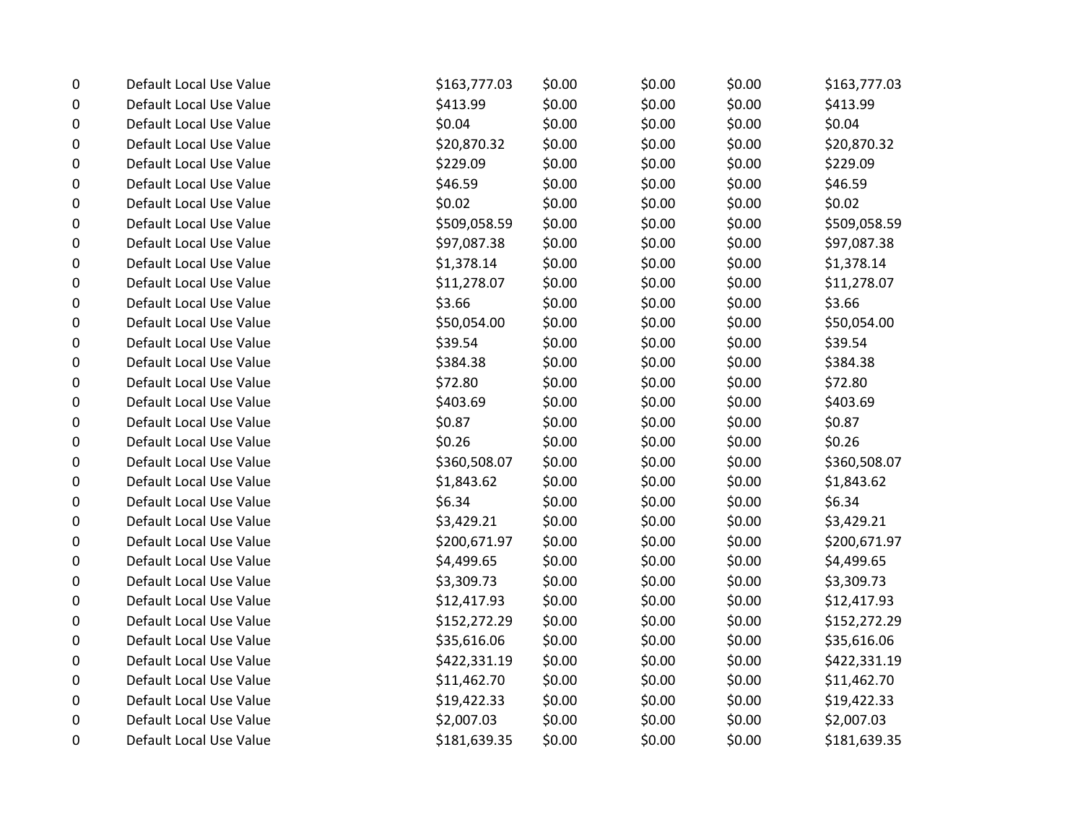| 0 | Default Local Use Value | \$163,777.03 | \$0.00 | \$0.00 | \$0.00 | \$163,777.03 |
|---|-------------------------|--------------|--------|--------|--------|--------------|
| 0 | Default Local Use Value | \$413.99     | \$0.00 | \$0.00 | \$0.00 | \$413.99     |
| 0 | Default Local Use Value | \$0.04       | \$0.00 | \$0.00 | \$0.00 | \$0.04       |
| 0 | Default Local Use Value | \$20,870.32  | \$0.00 | \$0.00 | \$0.00 | \$20,870.32  |
| 0 | Default Local Use Value | \$229.09     | \$0.00 | \$0.00 | \$0.00 | \$229.09     |
| 0 | Default Local Use Value | \$46.59      | \$0.00 | \$0.00 | \$0.00 | \$46.59      |
| 0 | Default Local Use Value | \$0.02       | \$0.00 | \$0.00 | \$0.00 | \$0.02\$     |
| 0 | Default Local Use Value | \$509,058.59 | \$0.00 | \$0.00 | \$0.00 | \$509,058.59 |
| 0 | Default Local Use Value | \$97,087.38  | \$0.00 | \$0.00 | \$0.00 | \$97,087.38  |
| 0 | Default Local Use Value | \$1,378.14   | \$0.00 | \$0.00 | \$0.00 | \$1,378.14   |
| 0 | Default Local Use Value | \$11,278.07  | \$0.00 | \$0.00 | \$0.00 | \$11,278.07  |
| 0 | Default Local Use Value | \$3.66       | \$0.00 | \$0.00 | \$0.00 | \$3.66       |
| 0 | Default Local Use Value | \$50,054.00  | \$0.00 | \$0.00 | \$0.00 | \$50,054.00  |
| 0 | Default Local Use Value | \$39.54      | \$0.00 | \$0.00 | \$0.00 | \$39.54      |
| 0 | Default Local Use Value | \$384.38     | \$0.00 | \$0.00 | \$0.00 | \$384.38     |
| 0 | Default Local Use Value | \$72.80      | \$0.00 | \$0.00 | \$0.00 | \$72.80      |
| 0 | Default Local Use Value | \$403.69     | \$0.00 | \$0.00 | \$0.00 | \$403.69     |
| 0 | Default Local Use Value | \$0.87       | \$0.00 | \$0.00 | \$0.00 | \$0.87       |
| 0 | Default Local Use Value | \$0.26       | \$0.00 | \$0.00 | \$0.00 | \$0.26       |
| 0 | Default Local Use Value | \$360,508.07 | \$0.00 | \$0.00 | \$0.00 | \$360,508.07 |
| 0 | Default Local Use Value | \$1,843.62   | \$0.00 | \$0.00 | \$0.00 | \$1,843.62   |
| 0 | Default Local Use Value | \$6.34       | \$0.00 | \$0.00 | \$0.00 | \$6.34       |
| 0 | Default Local Use Value | \$3,429.21   | \$0.00 | \$0.00 | \$0.00 | \$3,429.21   |
| 0 | Default Local Use Value | \$200,671.97 | \$0.00 | \$0.00 | \$0.00 | \$200,671.97 |
| 0 | Default Local Use Value | \$4,499.65   | \$0.00 | \$0.00 | \$0.00 | \$4,499.65   |
| 0 | Default Local Use Value | \$3,309.73   | \$0.00 | \$0.00 | \$0.00 | \$3,309.73   |
| 0 | Default Local Use Value | \$12,417.93  | \$0.00 | \$0.00 | \$0.00 | \$12,417.93  |
| 0 | Default Local Use Value | \$152,272.29 | \$0.00 | \$0.00 | \$0.00 | \$152,272.29 |
| 0 | Default Local Use Value | \$35,616.06  | \$0.00 | \$0.00 | \$0.00 | \$35,616.06  |
| 0 | Default Local Use Value | \$422,331.19 | \$0.00 | \$0.00 | \$0.00 | \$422,331.19 |
| 0 | Default Local Use Value | \$11,462.70  | \$0.00 | \$0.00 | \$0.00 | \$11,462.70  |
| 0 | Default Local Use Value | \$19,422.33  | \$0.00 | \$0.00 | \$0.00 | \$19,422.33  |
| 0 | Default Local Use Value | \$2,007.03   | \$0.00 | \$0.00 | \$0.00 | \$2,007.03   |
| 0 | Default Local Use Value | \$181,639.35 | \$0.00 | \$0.00 | \$0.00 | \$181,639.35 |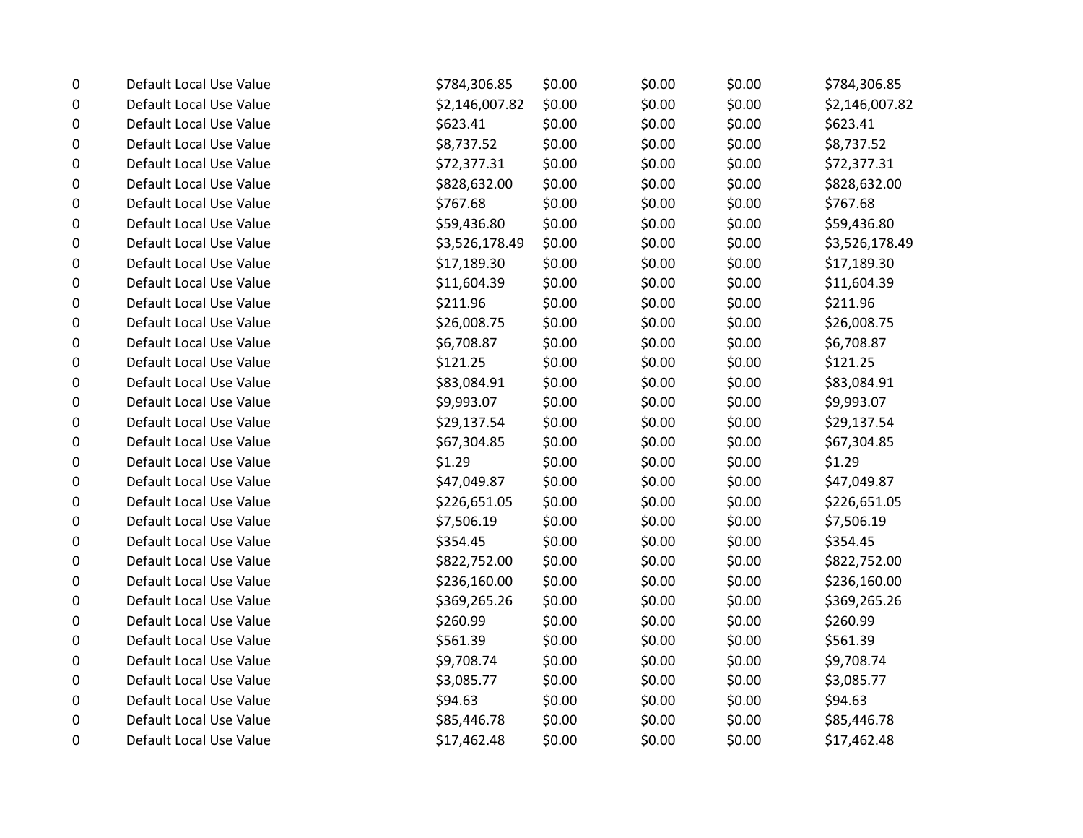| $\pmb{0}$ | Default Local Use Value | \$784,306.85   | \$0.00 | \$0.00 | \$0.00 | \$784,306.85   |
|-----------|-------------------------|----------------|--------|--------|--------|----------------|
| 0         | Default Local Use Value | \$2,146,007.82 | \$0.00 | \$0.00 | \$0.00 | \$2,146,007.82 |
| 0         | Default Local Use Value | \$623.41       | \$0.00 | \$0.00 | \$0.00 | \$623.41       |
| 0         | Default Local Use Value | \$8,737.52     | \$0.00 | \$0.00 | \$0.00 | \$8,737.52     |
| 0         | Default Local Use Value | \$72,377.31    | \$0.00 | \$0.00 | \$0.00 | \$72,377.31    |
| 0         | Default Local Use Value | \$828,632.00   | \$0.00 | \$0.00 | \$0.00 | \$828,632.00   |
| 0         | Default Local Use Value | \$767.68       | \$0.00 | \$0.00 | \$0.00 | \$767.68       |
| 0         | Default Local Use Value | \$59,436.80    | \$0.00 | \$0.00 | \$0.00 | \$59,436.80    |
| 0         | Default Local Use Value | \$3,526,178.49 | \$0.00 | \$0.00 | \$0.00 | \$3,526,178.49 |
| 0         | Default Local Use Value | \$17,189.30    | \$0.00 | \$0.00 | \$0.00 | \$17,189.30    |
| 0         | Default Local Use Value | \$11,604.39    | \$0.00 | \$0.00 | \$0.00 | \$11,604.39    |
| 0         | Default Local Use Value | \$211.96       | \$0.00 | \$0.00 | \$0.00 | \$211.96       |
| 0         | Default Local Use Value | \$26,008.75    | \$0.00 | \$0.00 | \$0.00 | \$26,008.75    |
| 0         | Default Local Use Value | \$6,708.87     | \$0.00 | \$0.00 | \$0.00 | \$6,708.87     |
| $\pmb{0}$ | Default Local Use Value | \$121.25       | \$0.00 | \$0.00 | \$0.00 | \$121.25       |
| 0         | Default Local Use Value | \$83,084.91    | \$0.00 | \$0.00 | \$0.00 | \$83,084.91    |
| 0         | Default Local Use Value | \$9,993.07     | \$0.00 | \$0.00 | \$0.00 | \$9,993.07     |
| 0         | Default Local Use Value | \$29,137.54    | \$0.00 | \$0.00 | \$0.00 | \$29,137.54    |
| 0         | Default Local Use Value | \$67,304.85    | \$0.00 | \$0.00 | \$0.00 | \$67,304.85    |
| 0         | Default Local Use Value | \$1.29         | \$0.00 | \$0.00 | \$0.00 | \$1.29         |
| 0         | Default Local Use Value | \$47,049.87    | \$0.00 | \$0.00 | \$0.00 | \$47,049.87    |
| 0         | Default Local Use Value | \$226,651.05   | \$0.00 | \$0.00 | \$0.00 | \$226,651.05   |
| 0         | Default Local Use Value | \$7,506.19     | \$0.00 | \$0.00 | \$0.00 | \$7,506.19     |
| 0         | Default Local Use Value | \$354.45       | \$0.00 | \$0.00 | \$0.00 | \$354.45       |
| 0         | Default Local Use Value | \$822,752.00   | \$0.00 | \$0.00 | \$0.00 | \$822,752.00   |
| 0         | Default Local Use Value | \$236,160.00   | \$0.00 | \$0.00 | \$0.00 | \$236,160.00   |
| 0         | Default Local Use Value | \$369,265.26   | \$0.00 | \$0.00 | \$0.00 | \$369,265.26   |
| 0         | Default Local Use Value | \$260.99       | \$0.00 | \$0.00 | \$0.00 | \$260.99       |
| 0         | Default Local Use Value | \$561.39       | \$0.00 | \$0.00 | \$0.00 | \$561.39       |
| 0         | Default Local Use Value | \$9,708.74     | \$0.00 | \$0.00 | \$0.00 | \$9,708.74     |
| 0         | Default Local Use Value | \$3,085.77     | \$0.00 | \$0.00 | \$0.00 | \$3,085.77     |
| 0         | Default Local Use Value | \$94.63        | \$0.00 | \$0.00 | \$0.00 | \$94.63        |
| 0         | Default Local Use Value | \$85,446.78    | \$0.00 | \$0.00 | \$0.00 | \$85,446.78    |
| 0         | Default Local Use Value | \$17,462.48    | \$0.00 | \$0.00 | \$0.00 | \$17,462.48    |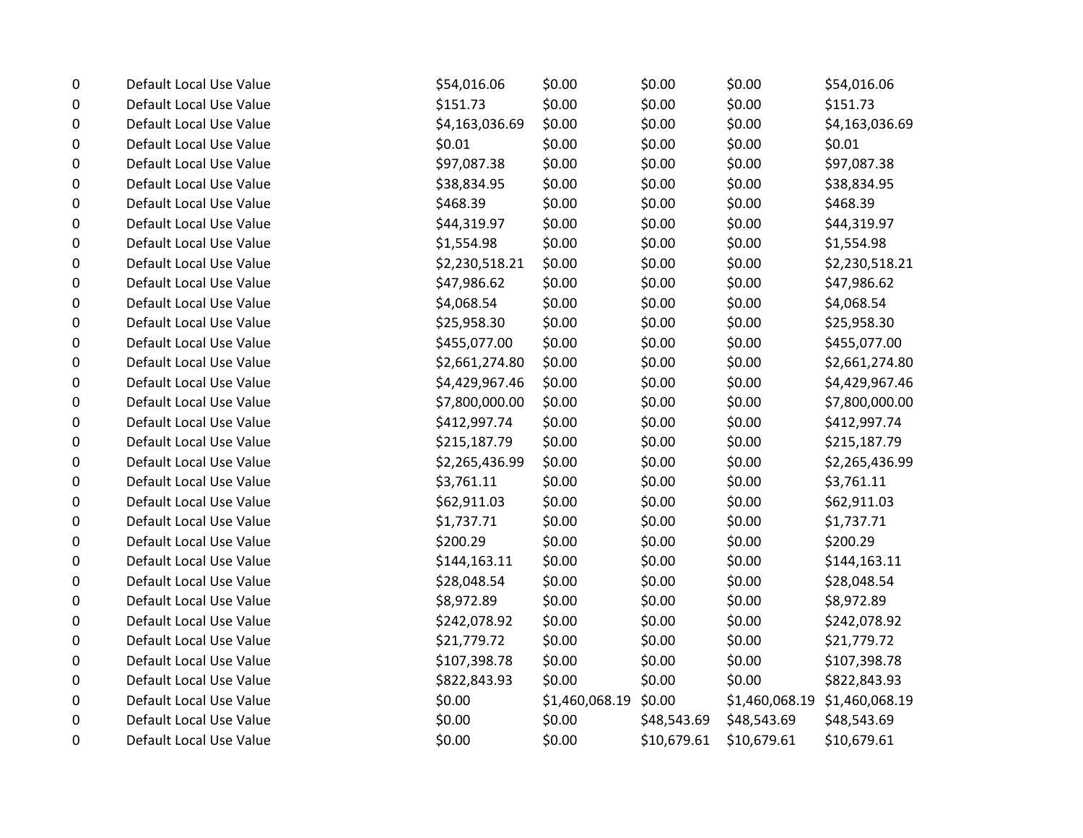| 0 | Default Local Use Value | \$54,016.06    | \$0.00         | \$0.00      | \$0.00         | \$54,016.06    |
|---|-------------------------|----------------|----------------|-------------|----------------|----------------|
| 0 | Default Local Use Value | \$151.73       | \$0.00         | \$0.00      | \$0.00         | \$151.73       |
| 0 | Default Local Use Value | \$4,163,036.69 | \$0.00         | \$0.00      | \$0.00         | \$4,163,036.69 |
| 0 | Default Local Use Value | \$0.01         | \$0.00         | \$0.00      | \$0.00         | \$0.01         |
| 0 | Default Local Use Value | \$97,087.38    | \$0.00         | \$0.00      | \$0.00         | \$97,087.38    |
| 0 | Default Local Use Value | \$38,834.95    | \$0.00         | \$0.00      | \$0.00         | \$38,834.95    |
| 0 | Default Local Use Value | \$468.39       | \$0.00         | \$0.00      | \$0.00         | \$468.39       |
| 0 | Default Local Use Value | \$44,319.97    | \$0.00         | \$0.00      | \$0.00         | \$44,319.97    |
| 0 | Default Local Use Value | \$1,554.98     | \$0.00         | \$0.00      | \$0.00         | \$1,554.98     |
| 0 | Default Local Use Value | \$2,230,518.21 | \$0.00         | \$0.00      | \$0.00         | \$2,230,518.21 |
| 0 | Default Local Use Value | \$47,986.62    | \$0.00         | \$0.00      | \$0.00         | \$47,986.62    |
| 0 | Default Local Use Value | \$4,068.54     | \$0.00         | \$0.00      | \$0.00         | \$4,068.54     |
| 0 | Default Local Use Value | \$25,958.30    | \$0.00         | \$0.00      | \$0.00         | \$25,958.30    |
| 0 | Default Local Use Value | \$455,077.00   | \$0.00         | \$0.00      | \$0.00         | \$455,077.00   |
| 0 | Default Local Use Value | \$2,661,274.80 | \$0.00         | \$0.00      | \$0.00         | \$2,661,274.80 |
| 0 | Default Local Use Value | \$4,429,967.46 | \$0.00         | \$0.00      | \$0.00         | \$4,429,967.46 |
| 0 | Default Local Use Value | \$7,800,000.00 | \$0.00         | \$0.00      | \$0.00         | \$7,800,000.00 |
| 0 | Default Local Use Value | \$412,997.74   | \$0.00         | \$0.00      | \$0.00         | \$412,997.74   |
| 0 | Default Local Use Value | \$215,187.79   | \$0.00         | \$0.00      | \$0.00         | \$215,187.79   |
| 0 | Default Local Use Value | \$2,265,436.99 | \$0.00         | \$0.00      | \$0.00         | \$2,265,436.99 |
| 0 | Default Local Use Value | \$3,761.11     | \$0.00         | \$0.00      | \$0.00         | \$3,761.11     |
| 0 | Default Local Use Value | \$62,911.03    | \$0.00         | \$0.00      | \$0.00         | \$62,911.03    |
| 0 | Default Local Use Value | \$1,737.71     | \$0.00         | \$0.00      | \$0.00         | \$1,737.71     |
| 0 | Default Local Use Value | \$200.29       | \$0.00         | \$0.00      | \$0.00         | \$200.29       |
| 0 | Default Local Use Value | \$144,163.11   | \$0.00         | \$0.00      | \$0.00         | \$144,163.11   |
| 0 | Default Local Use Value | \$28,048.54    | \$0.00         | \$0.00      | \$0.00         | \$28,048.54    |
| 0 | Default Local Use Value | \$8,972.89     | \$0.00         | \$0.00      | \$0.00         | \$8,972.89     |
| 0 | Default Local Use Value | \$242,078.92   | \$0.00         | \$0.00      | \$0.00         | \$242,078.92   |
| 0 | Default Local Use Value | \$21,779.72    | \$0.00         | \$0.00      | \$0.00         | \$21,779.72    |
| 0 | Default Local Use Value | \$107,398.78   | \$0.00         | \$0.00      | \$0.00         | \$107,398.78   |
| 0 | Default Local Use Value | \$822,843.93   | \$0.00         | \$0.00      | \$0.00         | \$822,843.93   |
| 0 | Default Local Use Value | \$0.00         | \$1,460,068.19 | \$0.00      | \$1,460,068.19 | \$1,460,068.19 |
| 0 | Default Local Use Value | \$0.00         | \$0.00         | \$48,543.69 | \$48,543.69    | \$48,543.69    |
| 0 | Default Local Use Value | \$0.00         | \$0.00         | \$10,679.61 | \$10,679.61    | \$10,679.61    |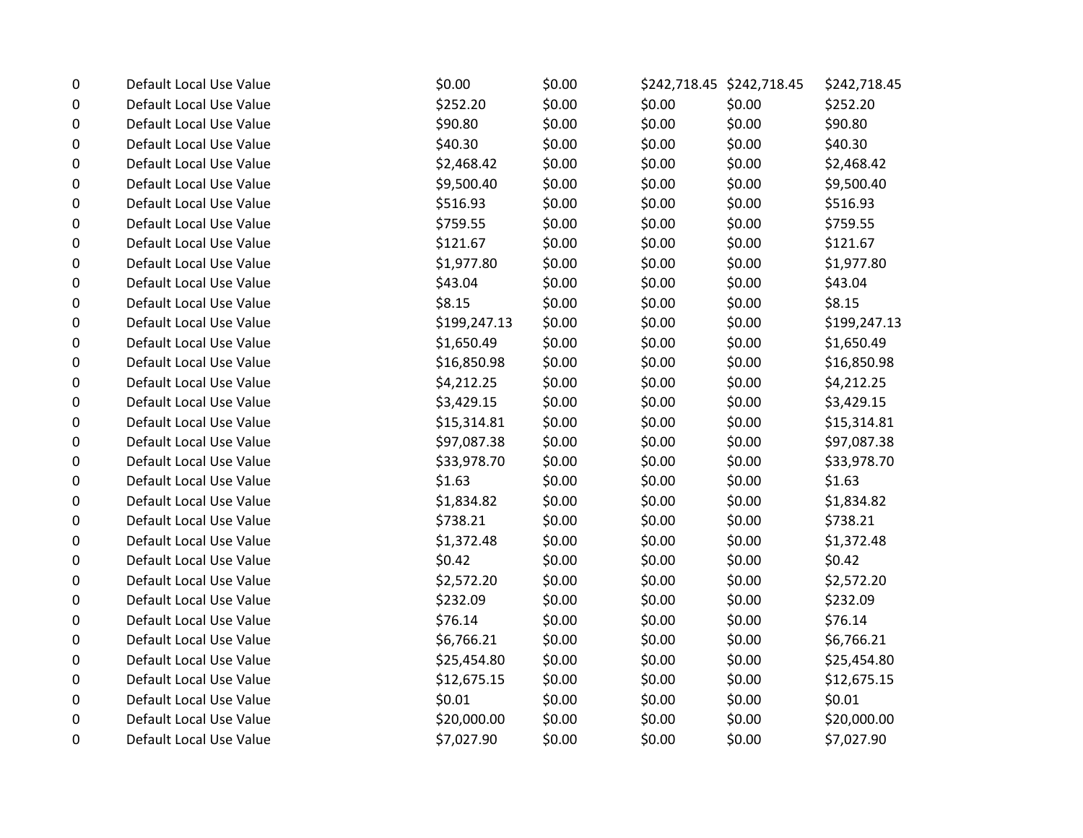| 0 | Default Local Use Value | \$0.00       | \$0.00 |        | \$242,718.45 \$242,718.45 | \$242,718.45 |
|---|-------------------------|--------------|--------|--------|---------------------------|--------------|
| 0 | Default Local Use Value | \$252.20     | \$0.00 | \$0.00 | \$0.00                    | \$252.20     |
| 0 | Default Local Use Value | \$90.80      | \$0.00 | \$0.00 | \$0.00                    | \$90.80      |
| 0 | Default Local Use Value | \$40.30      | \$0.00 | \$0.00 | \$0.00                    | \$40.30      |
| 0 | Default Local Use Value | \$2,468.42   | \$0.00 | \$0.00 | \$0.00                    | \$2,468.42   |
| 0 | Default Local Use Value | \$9,500.40   | \$0.00 | \$0.00 | \$0.00                    | \$9,500.40   |
| 0 | Default Local Use Value | \$516.93     | \$0.00 | \$0.00 | \$0.00                    | \$516.93     |
| 0 | Default Local Use Value | \$759.55     | \$0.00 | \$0.00 | \$0.00                    | \$759.55     |
| 0 | Default Local Use Value | \$121.67     | \$0.00 | \$0.00 | \$0.00                    | \$121.67     |
| 0 | Default Local Use Value | \$1,977.80   | \$0.00 | \$0.00 | \$0.00                    | \$1,977.80   |
| 0 | Default Local Use Value | \$43.04      | \$0.00 | \$0.00 | \$0.00                    | \$43.04      |
| 0 | Default Local Use Value | \$8.15       | \$0.00 | \$0.00 | \$0.00                    | \$8.15       |
| 0 | Default Local Use Value | \$199,247.13 | \$0.00 | \$0.00 | \$0.00                    | \$199,247.13 |
| 0 | Default Local Use Value | \$1,650.49   | \$0.00 | \$0.00 | \$0.00                    | \$1,650.49   |
| 0 | Default Local Use Value | \$16,850.98  | \$0.00 | \$0.00 | \$0.00                    | \$16,850.98  |
| 0 | Default Local Use Value | \$4,212.25   | \$0.00 | \$0.00 | \$0.00                    | \$4,212.25   |
| 0 | Default Local Use Value | \$3,429.15   | \$0.00 | \$0.00 | \$0.00                    | \$3,429.15   |
| 0 | Default Local Use Value | \$15,314.81  | \$0.00 | \$0.00 | \$0.00                    | \$15,314.81  |
| 0 | Default Local Use Value | \$97,087.38  | \$0.00 | \$0.00 | \$0.00                    | \$97,087.38  |
| 0 | Default Local Use Value | \$33,978.70  | \$0.00 | \$0.00 | \$0.00                    | \$33,978.70  |
| 0 | Default Local Use Value | \$1.63       | \$0.00 | \$0.00 | \$0.00                    | \$1.63       |
| 0 | Default Local Use Value | \$1,834.82   | \$0.00 | \$0.00 | \$0.00                    | \$1,834.82   |
| 0 | Default Local Use Value | \$738.21     | \$0.00 | \$0.00 | \$0.00                    | \$738.21     |
| 0 | Default Local Use Value | \$1,372.48   | \$0.00 | \$0.00 | \$0.00                    | \$1,372.48   |
| 0 | Default Local Use Value | \$0.42       | \$0.00 | \$0.00 | \$0.00                    | \$0.42       |
| 0 | Default Local Use Value | \$2,572.20   | \$0.00 | \$0.00 | \$0.00                    | \$2,572.20   |
| 0 | Default Local Use Value | \$232.09     | \$0.00 | \$0.00 | \$0.00                    | \$232.09     |
| 0 | Default Local Use Value | \$76.14      | \$0.00 | \$0.00 | \$0.00                    | \$76.14      |
| 0 | Default Local Use Value | \$6,766.21   | \$0.00 | \$0.00 | \$0.00                    | \$6,766.21   |
| 0 | Default Local Use Value | \$25,454.80  | \$0.00 | \$0.00 | \$0.00                    | \$25,454.80  |
| 0 | Default Local Use Value | \$12,675.15  | \$0.00 | \$0.00 | \$0.00                    | \$12,675.15  |
| 0 | Default Local Use Value | \$0.01       | \$0.00 | \$0.00 | \$0.00                    | \$0.01       |
| 0 | Default Local Use Value | \$20,000.00  | \$0.00 | \$0.00 | \$0.00                    | \$20,000.00  |
| 0 | Default Local Use Value | \$7,027.90   | \$0.00 | \$0.00 | \$0.00                    | \$7,027.90   |